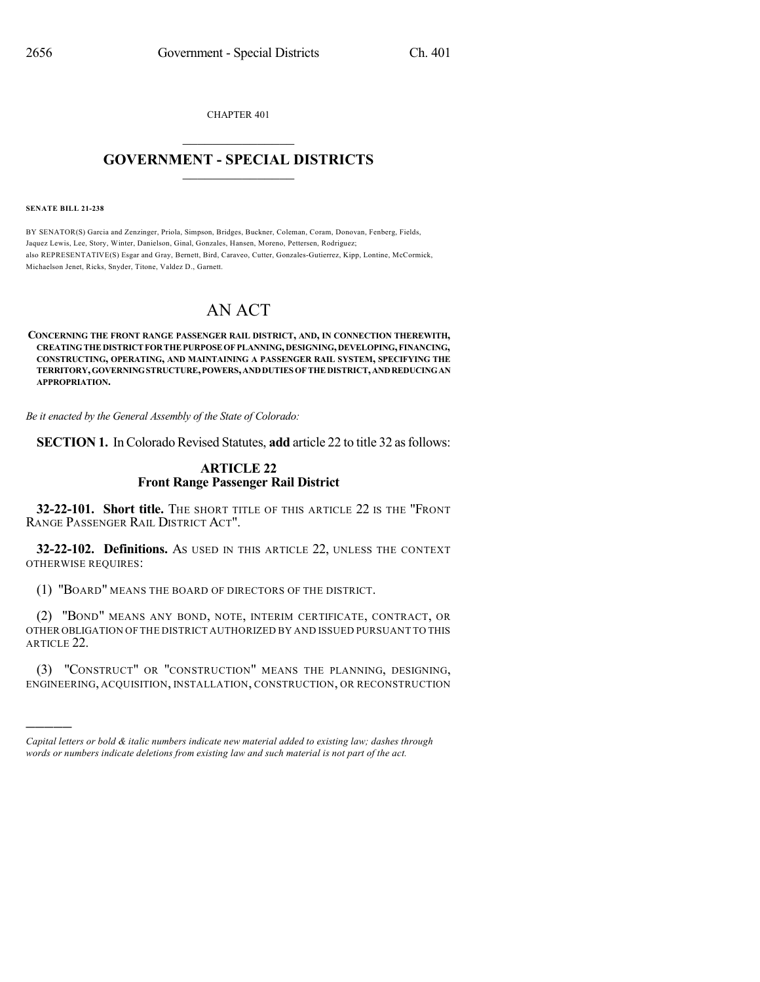CHAPTER 401  $\mathcal{L}_\text{max}$  . The set of the set of the set of the set of the set of the set of the set of the set of the set of the set of the set of the set of the set of the set of the set of the set of the set of the set of the set

## **GOVERNMENT - SPECIAL DISTRICTS**  $\_$   $\_$

**SENATE BILL 21-238**

)))))

BY SENATOR(S) Garcia and Zenzinger, Priola, Simpson, Bridges, Buckner, Coleman, Coram, Donovan, Fenberg, Fields, Jaquez Lewis, Lee, Story, Winter, Danielson, Ginal, Gonzales, Hansen, Moreno, Pettersen, Rodriguez; also REPRESENTATIVE(S) Esgar and Gray, Bernett, Bird, Caraveo, Cutter, Gonzales-Gutierrez, Kipp, Lontine, McCormick, Michaelson Jenet, Ricks, Snyder, Titone, Valdez D., Garnett.

# AN ACT

#### **CONCERNING THE FRONT RANGE PASSENGER RAIL DISTRICT, AND, IN CONNECTION THEREWITH, CREATINGTHEDISTRICTFORTHEPURPOSEOFPLANNING,DESIGNING,DEVELOPING,FINANCING, CONSTRUCTING, OPERATING, AND MAINTAINING A PASSENGER RAIL SYSTEM, SPECIFYING THE TERRITORY,GOVERNINGSTRUCTURE,POWERS,ANDDUTIES OFTHEDISTRICT,ANDREDUCINGAN APPROPRIATION.**

*Be it enacted by the General Assembly of the State of Colorado:*

**SECTION 1.** In Colorado Revised Statutes, add article 22 to title 32 as follows:

### **ARTICLE 22 Front Range Passenger Rail District**

**32-22-101. Short title.** THE SHORT TITLE OF THIS ARTICLE 22 IS THE "FRONT RANGE PASSENGER RAIL DISTRICT ACT".

**32-22-102. Definitions.** AS USED IN THIS ARTICLE 22, UNLESS THE CONTEXT OTHERWISE REQUIRES:

(1) "BOARD" MEANS THE BOARD OF DIRECTORS OF THE DISTRICT.

(2) "BOND" MEANS ANY BOND, NOTE, INTERIM CERTIFICATE, CONTRACT, OR OTHER OBLIGATION OF THE DISTRICT AUTHORIZED BY AND ISSUED PURSUANT TO THIS ARTICLE 22.

(3) "CONSTRUCT" OR "CONSTRUCTION" MEANS THE PLANNING, DESIGNING, ENGINEERING, ACQUISITION, INSTALLATION, CONSTRUCTION, OR RECONSTRUCTION

*Capital letters or bold & italic numbers indicate new material added to existing law; dashes through words or numbers indicate deletions from existing law and such material is not part of the act.*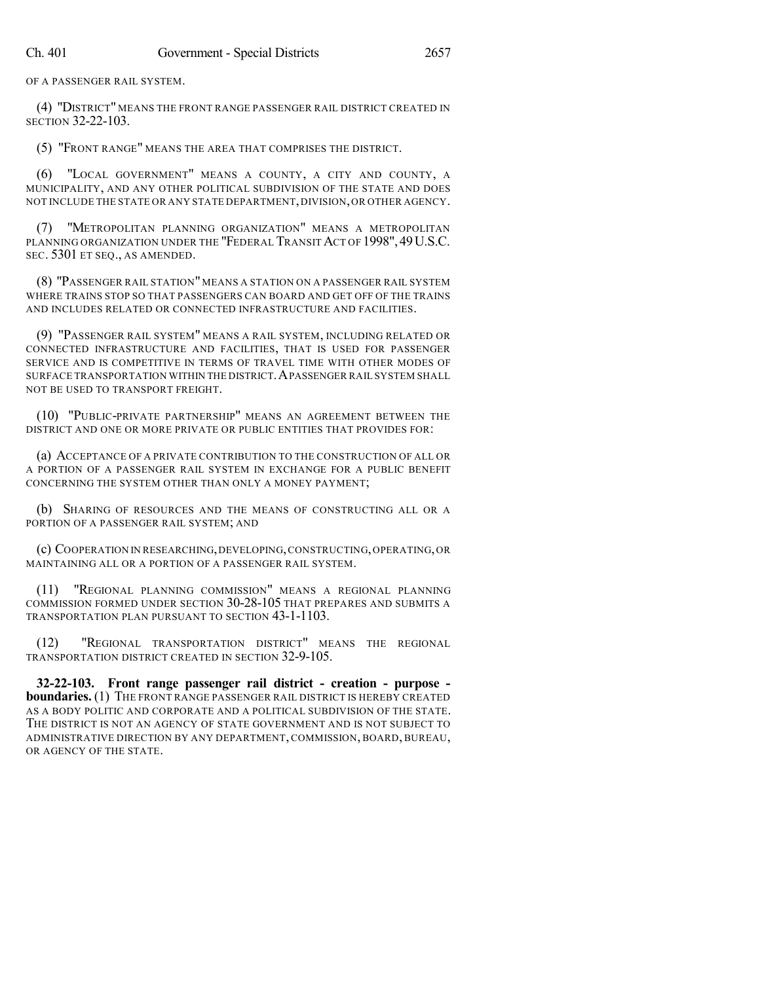OF A PASSENGER RAIL SYSTEM.

(4) "DISTRICT" MEANS THE FRONT RANGE PASSENGER RAIL DISTRICT CREATED IN SECTION 32-22-103.

(5) "FRONT RANGE" MEANS THE AREA THAT COMPRISES THE DISTRICT.

(6) "LOCAL GOVERNMENT" MEANS A COUNTY, A CITY AND COUNTY, A MUNICIPALITY, AND ANY OTHER POLITICAL SUBDIVISION OF THE STATE AND DOES NOT INCLUDE THE STATE OR ANY STATE DEPARTMENT,DIVISION,OR OTHER AGENCY.

(7) "METROPOLITAN PLANNING ORGANIZATION" MEANS A METROPOLITAN PLANNING ORGANIZATION UNDER THE "FEDERAL TRANSIT ACT OF 1998", 49U.S.C. SEC. 5301 ET SEQ., AS AMENDED.

(8) "PASSENGER RAIL STATION" MEANS A STATION ON A PASSENGER RAIL SYSTEM WHERE TRAINS STOP SO THAT PASSENGERS CAN BOARD AND GET OFF OF THE TRAINS AND INCLUDES RELATED OR CONNECTED INFRASTRUCTURE AND FACILITIES.

(9) "PASSENGER RAIL SYSTEM" MEANS A RAIL SYSTEM, INCLUDING RELATED OR CONNECTED INFRASTRUCTURE AND FACILITIES, THAT IS USED FOR PASSENGER SERVICE AND IS COMPETITIVE IN TERMS OF TRAVEL TIME WITH OTHER MODES OF SURFACE TRANSPORTATION WITHIN THE DISTRICT. A PASSENGER RAIL SYSTEM SHALL NOT BE USED TO TRANSPORT FREIGHT.

(10) "PUBLIC-PRIVATE PARTNERSHIP" MEANS AN AGREEMENT BETWEEN THE DISTRICT AND ONE OR MORE PRIVATE OR PUBLIC ENTITIES THAT PROVIDES FOR:

(a) ACCEPTANCE OF A PRIVATE CONTRIBUTION TO THE CONSTRUCTION OF ALL OR A PORTION OF A PASSENGER RAIL SYSTEM IN EXCHANGE FOR A PUBLIC BENEFIT CONCERNING THE SYSTEM OTHER THAN ONLY A MONEY PAYMENT;

(b) SHARING OF RESOURCES AND THE MEANS OF CONSTRUCTING ALL OR A PORTION OF A PASSENGER RAIL SYSTEM; AND

(c) COOPERATION IN RESEARCHING,DEVELOPING,CONSTRUCTING,OPERATING,OR MAINTAINING ALL OR A PORTION OF A PASSENGER RAIL SYSTEM.

(11) "REGIONAL PLANNING COMMISSION" MEANS A REGIONAL PLANNING COMMISSION FORMED UNDER SECTION 30-28-105 THAT PREPARES AND SUBMITS A TRANSPORTATION PLAN PURSUANT TO SECTION 43-1-1103.

(12) "REGIONAL TRANSPORTATION DISTRICT" MEANS THE REGIONAL TRANSPORTATION DISTRICT CREATED IN SECTION 32-9-105.

**32-22-103. Front range passenger rail district - creation - purpose boundaries.** (1) THE FRONT RANGE PASSENGER RAIL DISTRICT IS HEREBY CREATED AS A BODY POLITIC AND CORPORATE AND A POLITICAL SUBDIVISION OF THE STATE. THE DISTRICT IS NOT AN AGENCY OF STATE GOVERNMENT AND IS NOT SUBJECT TO ADMINISTRATIVE DIRECTION BY ANY DEPARTMENT, COMMISSION, BOARD, BUREAU, OR AGENCY OF THE STATE.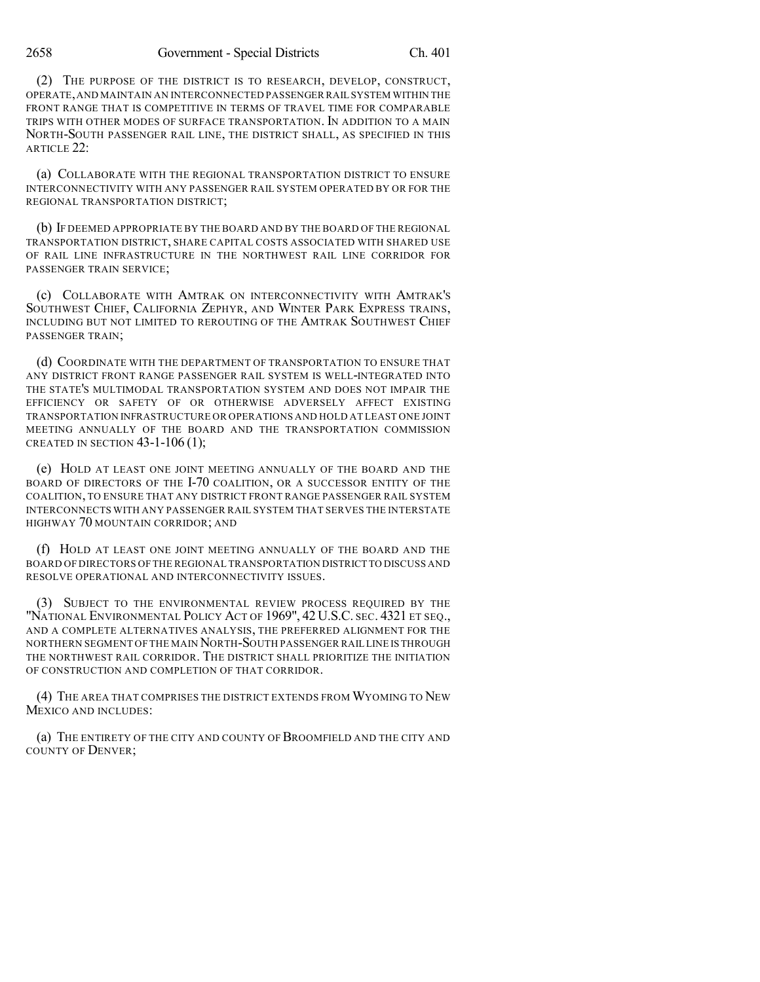(2) THE PURPOSE OF THE DISTRICT IS TO RESEARCH, DEVELOP, CONSTRUCT, OPERATE,AND MAINTAIN AN INTERCONNECTED PASSENGER RAIL SYSTEM WITHIN THE FRONT RANGE THAT IS COMPETITIVE IN TERMS OF TRAVEL TIME FOR COMPARABLE TRIPS WITH OTHER MODES OF SURFACE TRANSPORTATION. IN ADDITION TO A MAIN NORTH-SOUTH PASSENGER RAIL LINE, THE DISTRICT SHALL, AS SPECIFIED IN THIS ARTICLE 22:

(a) COLLABORATE WITH THE REGIONAL TRANSPORTATION DISTRICT TO ENSURE INTERCONNECTIVITY WITH ANY PASSENGER RAIL SYSTEM OPERATED BY OR FOR THE REGIONAL TRANSPORTATION DISTRICT;

(b) IF DEEMED APPROPRIATE BY THE BOARD AND BY THE BOARD OF THE REGIONAL TRANSPORTATION DISTRICT, SHARE CAPITAL COSTS ASSOCIATED WITH SHARED USE OF RAIL LINE INFRASTRUCTURE IN THE NORTHWEST RAIL LINE CORRIDOR FOR PASSENGER TRAIN SERVICE;

(c) COLLABORATE WITH AMTRAK ON INTERCONNECTIVITY WITH AMTRAK'S SOUTHWEST CHIEF, CALIFORNIA ZEPHYR, AND WINTER PARK EXPRESS TRAINS, INCLUDING BUT NOT LIMITED TO REROUTING OF THE AMTRAK SOUTHWEST CHIEF PASSENGER TRAIN;

(d) COORDINATE WITH THE DEPARTMENT OF TRANSPORTATION TO ENSURE THAT ANY DISTRICT FRONT RANGE PASSENGER RAIL SYSTEM IS WELL-INTEGRATED INTO THE STATE'S MULTIMODAL TRANSPORTATION SYSTEM AND DOES NOT IMPAIR THE EFFICIENCY OR SAFETY OF OR OTHERWISE ADVERSELY AFFECT EXISTING TRANSPORTATION INFRASTRUCTURE OR OPERATIONS AND HOLD AT LEAST ONE JOINT MEETING ANNUALLY OF THE BOARD AND THE TRANSPORTATION COMMISSION CREATED IN SECTION 43-1-106 (1);

(e) HOLD AT LEAST ONE JOINT MEETING ANNUALLY OF THE BOARD AND THE BOARD OF DIRECTORS OF THE I-70 COALITION, OR A SUCCESSOR ENTITY OF THE COALITION, TO ENSURE THAT ANY DISTRICT FRONT RANGE PASSENGER RAIL SYSTEM INTERCONNECTS WITH ANY PASSENGER RAIL SYSTEM THAT SERVES THE INTERSTATE HIGHWAY 70 MOUNTAIN CORRIDOR; AND

(f) HOLD AT LEAST ONE JOINT MEETING ANNUALLY OF THE BOARD AND THE BOARD OF DIRECTORS OF THE REGIONAL TRANSPORTATION DISTRICT TO DISCUSS AND RESOLVE OPERATIONAL AND INTERCONNECTIVITY ISSUES.

(3) SUBJECT TO THE ENVIRONMENTAL REVIEW PROCESS REQUIRED BY THE "NATIONAL ENVIRONMENTAL POLICY ACT OF 1969", 42 U.S.C. SEC. 4321 ET SEQ., AND A COMPLETE ALTERNATIVES ANALYSIS, THE PREFERRED ALIGNMENT FOR THE NORTHERN SEGMENT OF THE MAIN NORTH-SOUTH PASSENGER RAIL LINE IS THROUGH THE NORTHWEST RAIL CORRIDOR. THE DISTRICT SHALL PRIORITIZE THE INITIATION OF CONSTRUCTION AND COMPLETION OF THAT CORRIDOR.

(4) THE AREA THAT COMPRISES THE DISTRICT EXTENDS FROM WYOMING TO NEW MEXICO AND INCLUDES:

(a) THE ENTIRETY OF THE CITY AND COUNTY OFBROOMFIELD AND THE CITY AND COUNTY OF DENVER;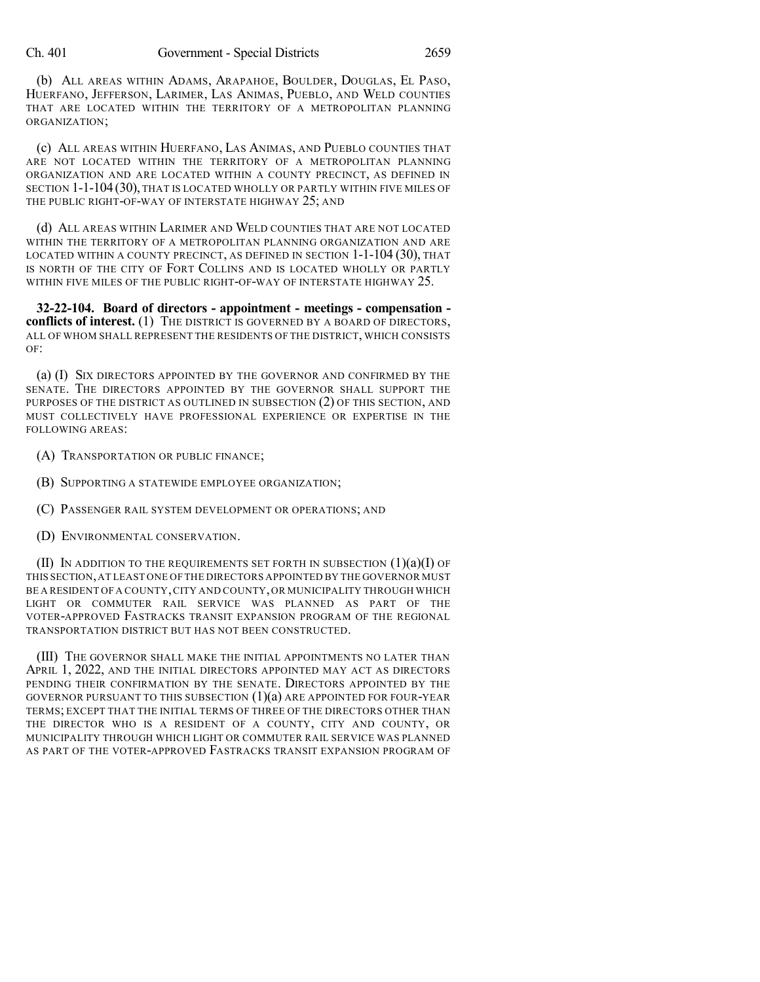(b) ALL AREAS WITHIN ADAMS, ARAPAHOE, BOULDER, DOUGLAS, EL PASO, HUERFANO, JEFFERSON, LARIMER, LAS ANIMAS, PUEBLO, AND WELD COUNTIES THAT ARE LOCATED WITHIN THE TERRITORY OF A METROPOLITAN PLANNING ORGANIZATION;

(c) ALL AREAS WITHIN HUERFANO, LAS ANIMAS, AND PUEBLO COUNTIES THAT ARE NOT LOCATED WITHIN THE TERRITORY OF A METROPOLITAN PLANNING ORGANIZATION AND ARE LOCATED WITHIN A COUNTY PRECINCT, AS DEFINED IN SECTION 1-1-104 (30), THAT IS LOCATED WHOLLY OR PARTLY WITHIN FIVE MILES OF THE PUBLIC RIGHT-OF-WAY OF INTERSTATE HIGHWAY 25; AND

(d) ALL AREAS WITHIN LARIMER AND WELD COUNTIES THAT ARE NOT LOCATED WITHIN THE TERRITORY OF A METROPOLITAN PLANNING ORGANIZATION AND ARE LOCATED WITHIN A COUNTY PRECINCT, AS DEFINED IN SECTION 1-1-104 (30), THAT IS NORTH OF THE CITY OF FORT COLLINS AND IS LOCATED WHOLLY OR PARTLY WITHIN FIVE MILES OF THE PUBLIC RIGHT-OF-WAY OF INTERSTATE HIGHWAY 25.

**32-22-104. Board of directors - appointment - meetings - compensation conflicts of interest.** (1) THE DISTRICT IS GOVERNED BY A BOARD OF DIRECTORS, ALL OF WHOM SHALL REPRESENT THE RESIDENTS OF THE DISTRICT, WHICH CONSISTS OF:

(a) (I) SIX DIRECTORS APPOINTED BY THE GOVERNOR AND CONFIRMED BY THE SENATE. THE DIRECTORS APPOINTED BY THE GOVERNOR SHALL SUPPORT THE PURPOSES OF THE DISTRICT AS OUTLINED IN SUBSECTION (2) OF THIS SECTION, AND MUST COLLECTIVELY HAVE PROFESSIONAL EXPERIENCE OR EXPERTISE IN THE FOLLOWING AREAS:

- (A) TRANSPORTATION OR PUBLIC FINANCE;
- (B) SUPPORTING A STATEWIDE EMPLOYEE ORGANIZATION;
- (C) PASSENGER RAIL SYSTEM DEVELOPMENT OR OPERATIONS; AND
- (D) ENVIRONMENTAL CONSERVATION.

(II) IN ADDITION TO THE REQUIREMENTS SET FORTH IN SUBSECTION  $(1)(a)(I)$  OF THIS SECTION,AT LEAST ONE OF THE DIRECTORS APPOINTED BY THE GOVERNOR MUST BE A RESIDENT OF A COUNTY,CITY AND COUNTY,OR MUNICIPALITY THROUGH WHICH LIGHT OR COMMUTER RAIL SERVICE WAS PLANNED AS PART OF THE VOTER-APPROVED FASTRACKS TRANSIT EXPANSION PROGRAM OF THE REGIONAL TRANSPORTATION DISTRICT BUT HAS NOT BEEN CONSTRUCTED.

(III) THE GOVERNOR SHALL MAKE THE INITIAL APPOINTMENTS NO LATER THAN APRIL 1, 2022, AND THE INITIAL DIRECTORS APPOINTED MAY ACT AS DIRECTORS PENDING THEIR CONFIRMATION BY THE SENATE. DIRECTORS APPOINTED BY THE GOVERNOR PURSUANT TO THIS SUBSECTION  $(1)(a)$  are appointed for four-year TERMS; EXCEPT THAT THE INITIAL TERMS OF THREE OF THE DIRECTORS OTHER THAN THE DIRECTOR WHO IS A RESIDENT OF A COUNTY, CITY AND COUNTY, OR MUNICIPALITY THROUGH WHICH LIGHT OR COMMUTER RAIL SERVICE WAS PLANNED AS PART OF THE VOTER-APPROVED FASTRACKS TRANSIT EXPANSION PROGRAM OF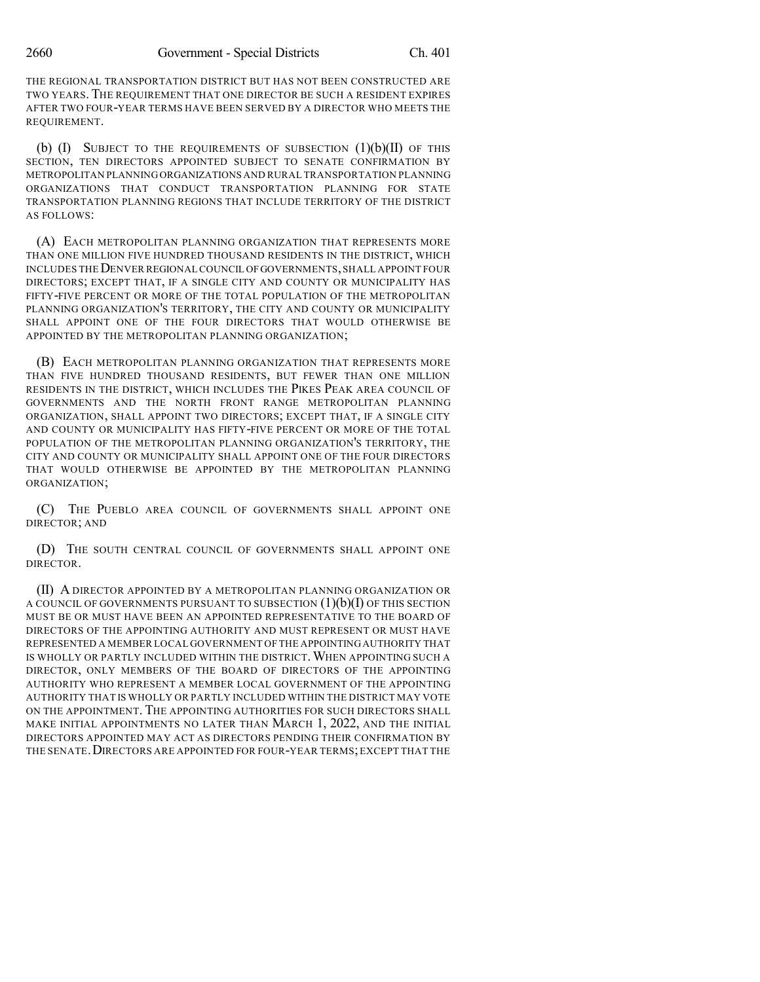THE REGIONAL TRANSPORTATION DISTRICT BUT HAS NOT BEEN CONSTRUCTED ARE TWO YEARS. THE REQUIREMENT THAT ONE DIRECTOR BE SUCH A RESIDENT EXPIRES AFTER TWO FOUR-YEAR TERMS HAVE BEEN SERVED BY A DIRECTOR WHO MEETS THE REQUIREMENT.

(b)  $(I)$  SUBJECT TO THE REQUIREMENTS OF SUBSECTION  $(I)(b)(II)$  Of THIS SECTION, TEN DIRECTORS APPOINTED SUBJECT TO SENATE CONFIRMATION BY METROPOLITAN PLANNINGORGANIZATIONS AND RURAL TRANSPORTATION PLANNING ORGANIZATIONS THAT CONDUCT TRANSPORTATION PLANNING FOR STATE TRANSPORTATION PLANNING REGIONS THAT INCLUDE TERRITORY OF THE DISTRICT AS FOLLOWS:

(A) EACH METROPOLITAN PLANNING ORGANIZATION THAT REPRESENTS MORE THAN ONE MILLION FIVE HUNDRED THOUSAND RESIDENTS IN THE DISTRICT, WHICH INCLUDES THEDENVER REGIONAL COUNCIL OFGOVERNMENTS,SHALL APPOINT FOUR DIRECTORS; EXCEPT THAT, IF A SINGLE CITY AND COUNTY OR MUNICIPALITY HAS FIFTY-FIVE PERCENT OR MORE OF THE TOTAL POPULATION OF THE METROPOLITAN PLANNING ORGANIZATION'S TERRITORY, THE CITY AND COUNTY OR MUNICIPALITY SHALL APPOINT ONE OF THE FOUR DIRECTORS THAT WOULD OTHERWISE BE APPOINTED BY THE METROPOLITAN PLANNING ORGANIZATION;

(B) EACH METROPOLITAN PLANNING ORGANIZATION THAT REPRESENTS MORE THAN FIVE HUNDRED THOUSAND RESIDENTS, BUT FEWER THAN ONE MILLION RESIDENTS IN THE DISTRICT, WHICH INCLUDES THE PIKES PEAK AREA COUNCIL OF GOVERNMENTS AND THE NORTH FRONT RANGE METROPOLITAN PLANNING ORGANIZATION, SHALL APPOINT TWO DIRECTORS; EXCEPT THAT, IF A SINGLE CITY AND COUNTY OR MUNICIPALITY HAS FIFTY-FIVE PERCENT OR MORE OF THE TOTAL POPULATION OF THE METROPOLITAN PLANNING ORGANIZATION'S TERRITORY, THE CITY AND COUNTY OR MUNICIPALITY SHALL APPOINT ONE OF THE FOUR DIRECTORS THAT WOULD OTHERWISE BE APPOINTED BY THE METROPOLITAN PLANNING ORGANIZATION;

(C) THE PUEBLO AREA COUNCIL OF GOVERNMENTS SHALL APPOINT ONE DIRECTOR; AND

(D) THE SOUTH CENTRAL COUNCIL OF GOVERNMENTS SHALL APPOINT ONE DIRECTOR.

(II) A DIRECTOR APPOINTED BY A METROPOLITAN PLANNING ORGANIZATION OR A COUNCIL OF GOVERNMENTS PURSUANT TO SUBSECTION  $(1)(b)(I)$  OF THIS SECTION MUST BE OR MUST HAVE BEEN AN APPOINTED REPRESENTATIVE TO THE BOARD OF DIRECTORS OF THE APPOINTING AUTHORITY AND MUST REPRESENT OR MUST HAVE REPRESENTED A MEMBER LOCAL GOVERNMENT OF THE APPOINTINGAUTHORITY THAT IS WHOLLY OR PARTLY INCLUDED WITHIN THE DISTRICT.WHEN APPOINTING SUCH A DIRECTOR, ONLY MEMBERS OF THE BOARD OF DIRECTORS OF THE APPOINTING AUTHORITY WHO REPRESENT A MEMBER LOCAL GOVERNMENT OF THE APPOINTING AUTHORITY THAT IS WHOLLY OR PARTLY INCLUDED WITHIN THE DISTRICT MAY VOTE ON THE APPOINTMENT. THE APPOINTING AUTHORITIES FOR SUCH DIRECTORS SHALL MAKE INITIAL APPOINTMENTS NO LATER THAN MARCH 1, 2022, AND THE INITIAL DIRECTORS APPOINTED MAY ACT AS DIRECTORS PENDING THEIR CONFIRMATION BY THE SENATE. DIRECTORS ARE APPOINTED FOR FOUR-YEAR TERMS; EXCEPT THAT THE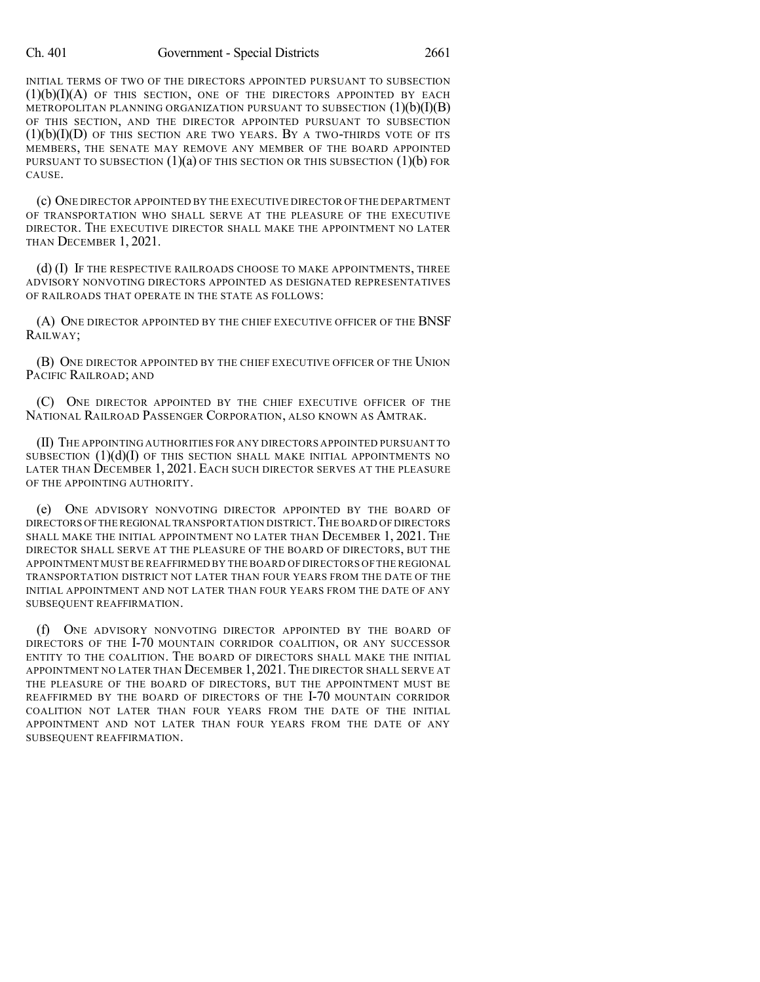#### Ch. 401 Government - Special Districts 2661

INITIAL TERMS OF TWO OF THE DIRECTORS APPOINTED PURSUANT TO SUBSECTION  $(1)(b)(I)(A)$  of this section, one of the directors appointed by each METROPOLITAN PLANNING ORGANIZATION PURSUANT TO SUBSECTION  $(1)(b)(I)(B)$ OF THIS SECTION, AND THE DIRECTOR APPOINTED PURSUANT TO SUBSECTION  $(1)(b)(I)(D)$  of this section are two years. By a two-thirds vote of its MEMBERS, THE SENATE MAY REMOVE ANY MEMBER OF THE BOARD APPOINTED PURSUANT TO SUBSECTION  $(1)(a)$  OF THIS SECTION OR THIS SUBSECTION  $(1)(b)$  FOR CAUSE.

(c) ONE DIRECTOR APPOINTED BY THE EXECUTIVE DIRECTOR OF THE DEPARTMENT OF TRANSPORTATION WHO SHALL SERVE AT THE PLEASURE OF THE EXECUTIVE DIRECTOR. THE EXECUTIVE DIRECTOR SHALL MAKE THE APPOINTMENT NO LATER THAN DECEMBER 1, 2021.

(d) (I) IF THE RESPECTIVE RAILROADS CHOOSE TO MAKE APPOINTMENTS, THREE ADVISORY NONVOTING DIRECTORS APPOINTED AS DESIGNATED REPRESENTATIVES OF RAILROADS THAT OPERATE IN THE STATE AS FOLLOWS:

(A) ONE DIRECTOR APPOINTED BY THE CHIEF EXECUTIVE OFFICER OF THE BNSF RAILWAY;

(B) ONE DIRECTOR APPOINTED BY THE CHIEF EXECUTIVE OFFICER OF THE UNION PACIFIC RAILROAD; AND

(C) ONE DIRECTOR APPOINTED BY THE CHIEF EXECUTIVE OFFICER OF THE NATIONAL RAILROAD PASSENGER CORPORATION, ALSO KNOWN AS AMTRAK.

(II) THE APPOINTING AUTHORITIES FOR ANY DIRECTORS APPOINTED PURSUANT TO SUBSECTION  $(1)(d)(I)$  OF THIS SECTION SHALL MAKE INITIAL APPOINTMENTS NO LATER THAN DECEMBER 1, 2021. EACH SUCH DIRECTOR SERVES AT THE PLEASURE OF THE APPOINTING AUTHORITY.

(e) ONE ADVISORY NONVOTING DIRECTOR APPOINTED BY THE BOARD OF DIRECTORS OFTHE REGIONAL TRANSPORTATION DISTRICT.THE BOARD OF DIRECTORS SHALL MAKE THE INITIAL APPOINTMENT NO LATER THAN DECEMBER 1, 2021. THE DIRECTOR SHALL SERVE AT THE PLEASURE OF THE BOARD OF DIRECTORS, BUT THE APPOINTMENT MUSTBE REAFFIRMED BY THE BOARD OF DIRECTORS OF THE REGIONAL TRANSPORTATION DISTRICT NOT LATER THAN FOUR YEARS FROM THE DATE OF THE INITIAL APPOINTMENT AND NOT LATER THAN FOUR YEARS FROM THE DATE OF ANY SUBSEQUENT REAFFIRMATION.

(f) ONE ADVISORY NONVOTING DIRECTOR APPOINTED BY THE BOARD OF DIRECTORS OF THE I-70 MOUNTAIN CORRIDOR COALITION, OR ANY SUCCESSOR ENTITY TO THE COALITION. THE BOARD OF DIRECTORS SHALL MAKE THE INITIAL APPOINTMENT NO LATER THAN DECEMBER 1, 2021.THE DIRECTOR SHALL SERVE AT THE PLEASURE OF THE BOARD OF DIRECTORS, BUT THE APPOINTMENT MUST BE REAFFIRMED BY THE BOARD OF DIRECTORS OF THE I-70 MOUNTAIN CORRIDOR COALITION NOT LATER THAN FOUR YEARS FROM THE DATE OF THE INITIAL APPOINTMENT AND NOT LATER THAN FOUR YEARS FROM THE DATE OF ANY SUBSEQUENT REAFFIRMATION.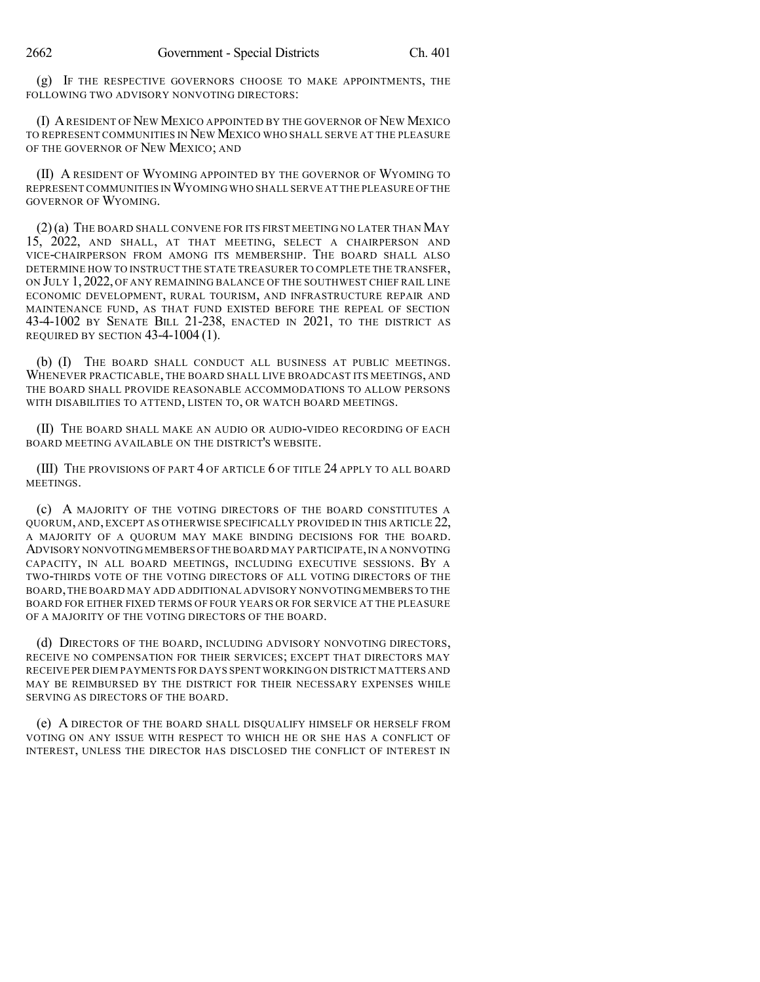(g) IF THE RESPECTIVE GOVERNORS CHOOSE TO MAKE APPOINTMENTS, THE FOLLOWING TWO ADVISORY NONVOTING DIRECTORS:

(I) ARESIDENT OF NEW MEXICO APPOINTED BY THE GOVERNOR OF NEW MEXICO TO REPRESENT COMMUNITIES IN NEW MEXICO WHO SHALL SERVE AT THE PLEASURE OF THE GOVERNOR OF NEW MEXICO; AND

(II) A RESIDENT OF WYOMING APPOINTED BY THE GOVERNOR OF WYOMING TO REPRESENT COMMUNITIES INWYOMING WHO SHALL SERVE AT THE PLEASURE OF THE GOVERNOR OF WYOMING.

(2)(a) THE BOARD SHALL CONVENE FOR ITS FIRST MEETING NO LATER THAN MAY 15, 2022, AND SHALL, AT THAT MEETING, SELECT A CHAIRPERSON AND VICE-CHAIRPERSON FROM AMONG ITS MEMBERSHIP. THE BOARD SHALL ALSO DETERMINE HOW TO INSTRUCT THE STATE TREASURER TO COMPLETE THE TRANSFER, ON JULY 1, 2022, OF ANY REMAINING BALANCE OF THE SOUTHWEST CHIEF RAIL LINE ECONOMIC DEVELOPMENT, RURAL TOURISM, AND INFRASTRUCTURE REPAIR AND MAINTENANCE FUND, AS THAT FUND EXISTED BEFORE THE REPEAL OF SECTION 43-4-1002 BY SENATE BILL 21-238, ENACTED IN 2021, TO THE DISTRICT AS REQUIRED BY SECTION 43-4-1004 (1).

(b) (I) THE BOARD SHALL CONDUCT ALL BUSINESS AT PUBLIC MEETINGS. WHENEVER PRACTICABLE, THE BOARD SHALL LIVE BROADCAST ITS MEETINGS, AND THE BOARD SHALL PROVIDE REASONABLE ACCOMMODATIONS TO ALLOW PERSONS WITH DISABILITIES TO ATTEND, LISTEN TO, OR WATCH BOARD MEETINGS.

(II) THE BOARD SHALL MAKE AN AUDIO OR AUDIO-VIDEO RECORDING OF EACH BOARD MEETING AVAILABLE ON THE DISTRICT'S WEBSITE.

(III) THE PROVISIONS OF PART 4 OF ARTICLE 6 OF TITLE 24 APPLY TO ALL BOARD **MEETINGS** 

(c) A MAJORITY OF THE VOTING DIRECTORS OF THE BOARD CONSTITUTES A QUORUM, AND, EXCEPT AS OTHERWISE SPECIFICALLY PROVIDED IN THIS ARTICLE 22, A MAJORITY OF A QUORUM MAY MAKE BINDING DECISIONS FOR THE BOARD. ADVISORY NONVOTING MEMBERS OF THE BOARD MAY PARTICIPATE,IN A NONVOTING CAPACITY, IN ALL BOARD MEETINGS, INCLUDING EXECUTIVE SESSIONS. BY A TWO-THIRDS VOTE OF THE VOTING DIRECTORS OF ALL VOTING DIRECTORS OF THE BOARD,THE BOARD MAY ADD ADDITIONAL ADVISORY NONVOTING MEMBERS TO THE BOARD FOR EITHER FIXED TERMS OF FOUR YEARS OR FOR SERVICE AT THE PLEASURE OF A MAJORITY OF THE VOTING DIRECTORS OF THE BOARD.

(d) DIRECTORS OF THE BOARD, INCLUDING ADVISORY NONVOTING DIRECTORS, RECEIVE NO COMPENSATION FOR THEIR SERVICES; EXCEPT THAT DIRECTORS MAY RECEIVE PER DIEM PAYMENTS FOR DAYS SPENT WORKING ON DISTRICT MATTERS AND MAY BE REIMBURSED BY THE DISTRICT FOR THEIR NECESSARY EXPENSES WHILE SERVING AS DIRECTORS OF THE BOARD.

(e) A DIRECTOR OF THE BOARD SHALL DISQUALIFY HIMSELF OR HERSELF FROM VOTING ON ANY ISSUE WITH RESPECT TO WHICH HE OR SHE HAS A CONFLICT OF INTEREST, UNLESS THE DIRECTOR HAS DISCLOSED THE CONFLICT OF INTEREST IN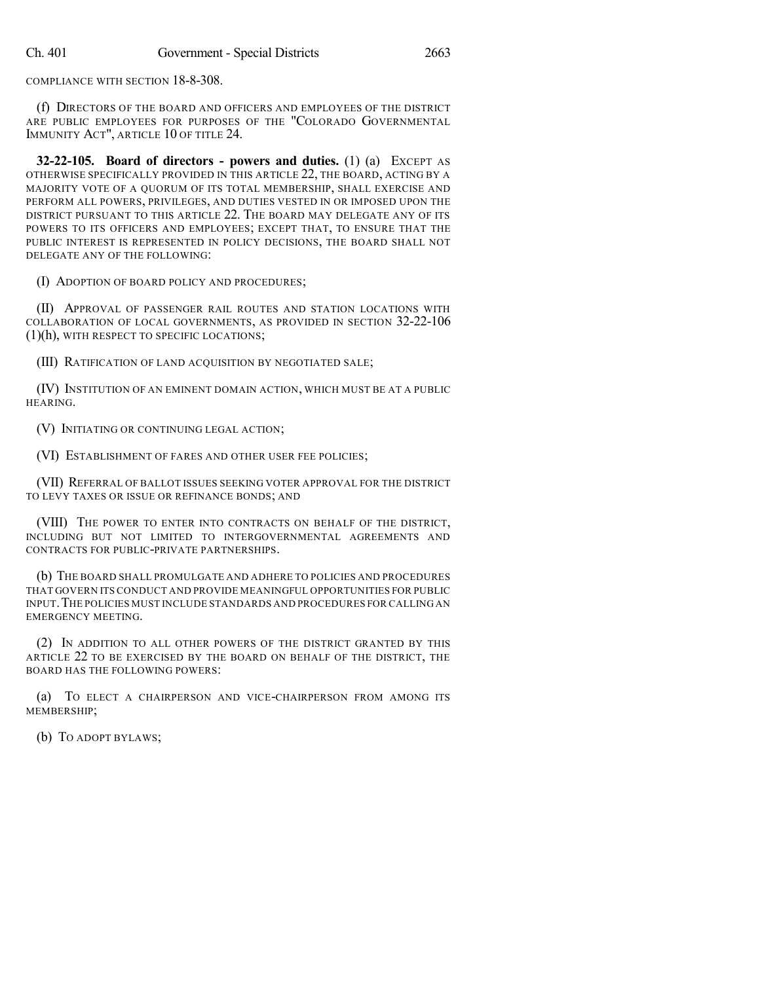COMPLIANCE WITH SECTION 18-8-308.

(f) DIRECTORS OF THE BOARD AND OFFICERS AND EMPLOYEES OF THE DISTRICT ARE PUBLIC EMPLOYEES FOR PURPOSES OF THE "COLORADO GOVERNMENTAL IMMUNITY ACT", ARTICLE 10 OF TITLE 24.

**32-22-105. Board of directors - powers and duties.** (1) (a) EXCEPT AS OTHERWISE SPECIFICALLY PROVIDED IN THIS ARTICLE 22, THE BOARD, ACTING BY A MAJORITY VOTE OF A QUORUM OF ITS TOTAL MEMBERSHIP, SHALL EXERCISE AND PERFORM ALL POWERS, PRIVILEGES, AND DUTIES VESTED IN OR IMPOSED UPON THE DISTRICT PURSUANT TO THIS ARTICLE 22. THE BOARD MAY DELEGATE ANY OF ITS POWERS TO ITS OFFICERS AND EMPLOYEES; EXCEPT THAT, TO ENSURE THAT THE PUBLIC INTEREST IS REPRESENTED IN POLICY DECISIONS, THE BOARD SHALL NOT DELEGATE ANY OF THE FOLLOWING:

(I) ADOPTION OF BOARD POLICY AND PROCEDURES;

(II) APPROVAL OF PASSENGER RAIL ROUTES AND STATION LOCATIONS WITH COLLABORATION OF LOCAL GOVERNMENTS, AS PROVIDED IN SECTION 32-22-106 (1)(h), WITH RESPECT TO SPECIFIC LOCATIONS;

(III) RATIFICATION OF LAND ACQUISITION BY NEGOTIATED SALE;

(IV) INSTITUTION OF AN EMINENT DOMAIN ACTION, WHICH MUST BE AT A PUBLIC HEARING.

(V) INITIATING OR CONTINUING LEGAL ACTION;

(VI) ESTABLISHMENT OF FARES AND OTHER USER FEE POLICIES;

(VII) REFERRAL OF BALLOT ISSUES SEEKING VOTER APPROVAL FOR THE DISTRICT TO LEVY TAXES OR ISSUE OR REFINANCE BONDS; AND

(VIII) THE POWER TO ENTER INTO CONTRACTS ON BEHALF OF THE DISTRICT, INCLUDING BUT NOT LIMITED TO INTERGOVERNMENTAL AGREEMENTS AND CONTRACTS FOR PUBLIC-PRIVATE PARTNERSHIPS.

(b) THE BOARD SHALL PROMULGATE AND ADHERE TO POLICIES AND PROCEDURES THAT GOVERN ITS CONDUCT AND PROVIDE MEANINGFUL OPPORTUNITIES FOR PUBLIC INPUT.THE POLICIES MUST INCLUDE STANDARDS AND PROCEDURES FOR CALLING AN EMERGENCY MEETING.

(2) IN ADDITION TO ALL OTHER POWERS OF THE DISTRICT GRANTED BY THIS ARTICLE 22 TO BE EXERCISED BY THE BOARD ON BEHALF OF THE DISTRICT, THE BOARD HAS THE FOLLOWING POWERS:

(a) TO ELECT A CHAIRPERSON AND VICE-CHAIRPERSON FROM AMONG ITS MEMBERSHIP;

(b) TO ADOPT BYLAWS;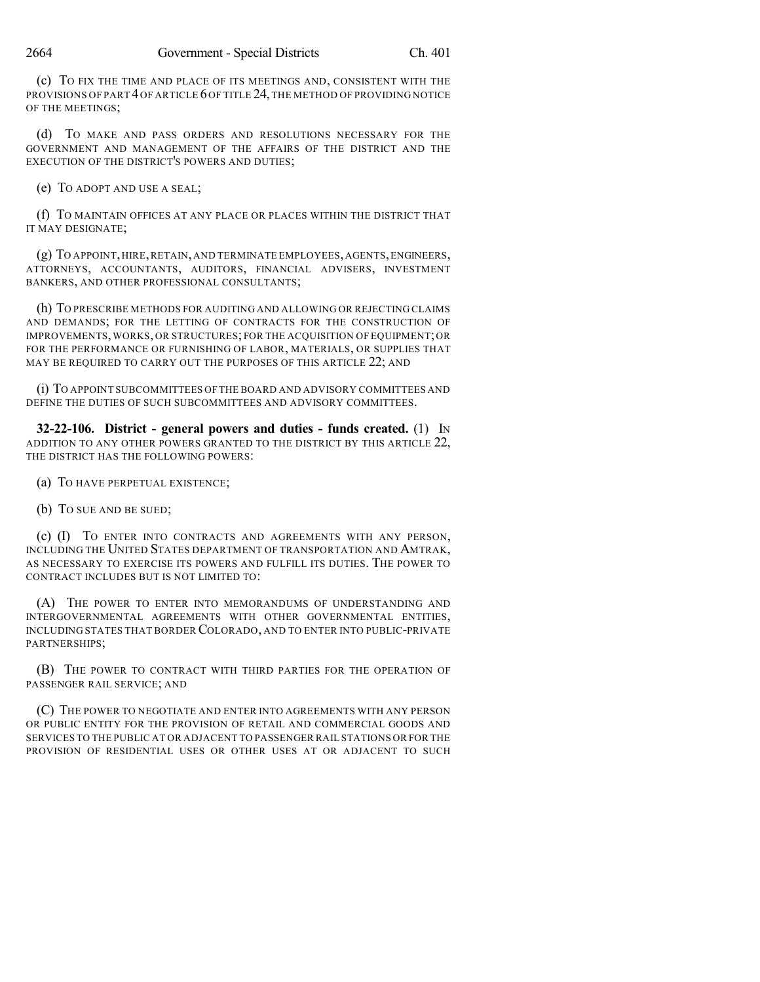(c) TO FIX THE TIME AND PLACE OF ITS MEETINGS AND, CONSISTENT WITH THE PROVISIONS OF PART 4 OF ARTICLE 6 OF TITLE 24, THE METHOD OF PROVIDING NOTICE OF THE MEETINGS;

(d) TO MAKE AND PASS ORDERS AND RESOLUTIONS NECESSARY FOR THE GOVERNMENT AND MANAGEMENT OF THE AFFAIRS OF THE DISTRICT AND THE EXECUTION OF THE DISTRICT'S POWERS AND DUTIES;

(e) TO ADOPT AND USE A SEAL;

(f) TO MAINTAIN OFFICES AT ANY PLACE OR PLACES WITHIN THE DISTRICT THAT IT MAY DESIGNATE;

(g) TO APPOINT,HIRE,RETAIN,AND TERMINATE EMPLOYEES,AGENTS,ENGINEERS, ATTORNEYS, ACCOUNTANTS, AUDITORS, FINANCIAL ADVISERS, INVESTMENT BANKERS, AND OTHER PROFESSIONAL CONSULTANTS;

(h) TO PRESCRIBE METHODS FOR AUDITING AND ALLOWING OR REJECTING CLAIMS AND DEMANDS; FOR THE LETTING OF CONTRACTS FOR THE CONSTRUCTION OF IMPROVEMENTS,WORKS, OR STRUCTURES; FOR THE ACQUISITION OF EQUIPMENT;OR FOR THE PERFORMANCE OR FURNISHING OF LABOR, MATERIALS, OR SUPPLIES THAT MAY BE REQUIRED TO CARRY OUT THE PURPOSES OF THIS ARTICLE 22; AND

(i) TO APPOINT SUBCOMMITTEES OFTHE BOARD AND ADVISORY COMMITTEES AND DEFINE THE DUTIES OF SUCH SUBCOMMITTEES AND ADVISORY COMMITTEES.

**32-22-106. District - general powers and duties - funds created.** (1) IN ADDITION TO ANY OTHER POWERS GRANTED TO THE DISTRICT BY THIS ARTICLE 22, THE DISTRICT HAS THE FOLLOWING POWERS:

(a) TO HAVE PERPETUAL EXISTENCE;

(b) TO SUE AND BE SUED;

(c) (I) TO ENTER INTO CONTRACTS AND AGREEMENTS WITH ANY PERSON, INCLUDING THE UNITED STATES DEPARTMENT OF TRANSPORTATION AND AMTRAK, AS NECESSARY TO EXERCISE ITS POWERS AND FULFILL ITS DUTIES. THE POWER TO CONTRACT INCLUDES BUT IS NOT LIMITED TO:

(A) THE POWER TO ENTER INTO MEMORANDUMS OF UNDERSTANDING AND INTERGOVERNMENTAL AGREEMENTS WITH OTHER GOVERNMENTAL ENTITIES, INCLUDING STATES THAT BORDER COLORADO, AND TO ENTER INTO PUBLIC-PRIVATE PARTNERSHIPS;

(B) THE POWER TO CONTRACT WITH THIRD PARTIES FOR THE OPERATION OF PASSENGER RAIL SERVICE; AND

(C) THE POWER TO NEGOTIATE AND ENTER INTO AGREEMENTS WITH ANY PERSON OR PUBLIC ENTITY FOR THE PROVISION OF RETAIL AND COMMERCIAL GOODS AND SERVICES TO THE PUBLIC AT OR ADJACENT TO PASSENGER RAIL STATIONS OR FOR THE PROVISION OF RESIDENTIAL USES OR OTHER USES AT OR ADJACENT TO SUCH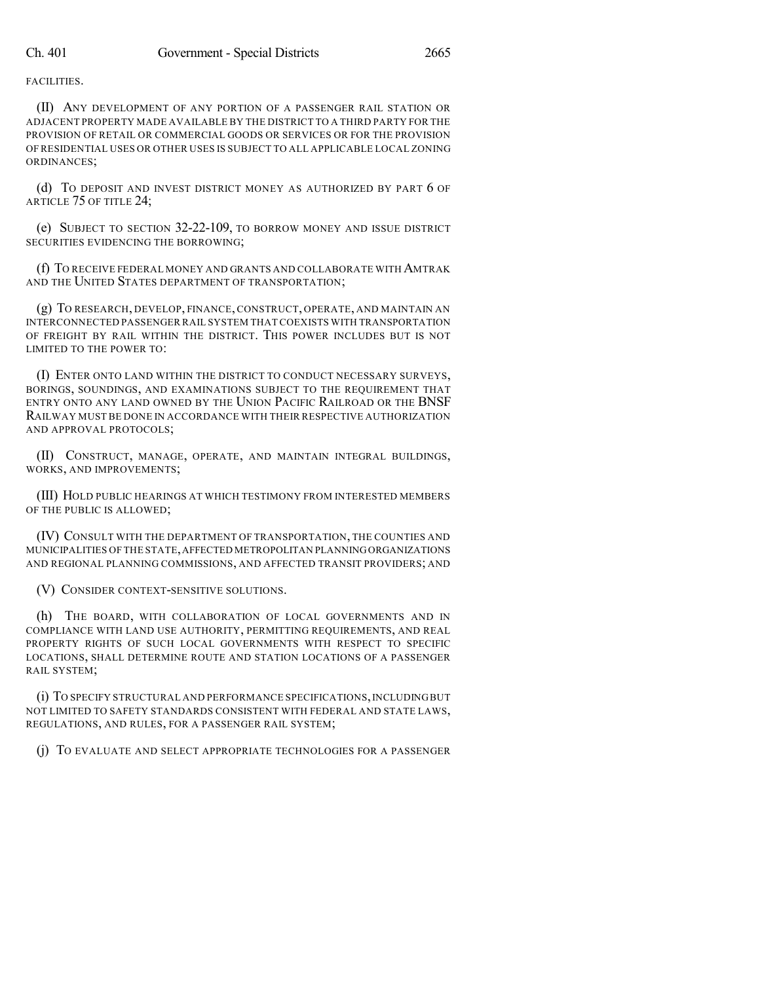FACILITIES.

(II) ANY DEVELOPMENT OF ANY PORTION OF A PASSENGER RAIL STATION OR ADJACENT PROPERTY MADE AVAILABLE BY THE DISTRICT TO A THIRD PARTY FOR THE PROVISION OF RETAIL OR COMMERCIAL GOODS OR SERVICES OR FOR THE PROVISION OF RESIDENTIAL USES OR OTHER USES IS SUBJECT TO ALL APPLICABLE LOCAL ZONING ORDINANCES;

(d) TO DEPOSIT AND INVEST DISTRICT MONEY AS AUTHORIZED BY PART 6 OF ARTICLE 75 OF TITLE 24;

(e) SUBJECT TO SECTION 32-22-109, TO BORROW MONEY AND ISSUE DISTRICT SECURITIES EVIDENCING THE BORROWING;

(f) TO RECEIVE FEDERAL MONEY AND GRANTS AND COLLABORATE WITH AMTRAK AND THE UNITED STATES DEPARTMENT OF TRANSPORTATION;

(g) TO RESEARCH, DEVELOP, FINANCE, CONSTRUCT, OPERATE, AND MAINTAIN AN INTERCONNECTED PASSENGER RAIL SYSTEM THATCOEXISTS WITH TRANSPORTATION OF FREIGHT BY RAIL WITHIN THE DISTRICT. THIS POWER INCLUDES BUT IS NOT LIMITED TO THE POWER TO:

(I) ENTER ONTO LAND WITHIN THE DISTRICT TO CONDUCT NECESSARY SURVEYS, BORINGS, SOUNDINGS, AND EXAMINATIONS SUBJECT TO THE REQUIREMENT THAT ENTRY ONTO ANY LAND OWNED BY THE UNION PACIFIC RAILROAD OR THE BNSF RAILWAY MUST BE DONE IN ACCORDANCE WITH THEIR RESPECTIVE AUTHORIZATION AND APPROVAL PROTOCOLS;

(II) CONSTRUCT, MANAGE, OPERATE, AND MAINTAIN INTEGRAL BUILDINGS, WORKS, AND IMPROVEMENTS;

(III) HOLD PUBLIC HEARINGS AT WHICH TESTIMONY FROM INTERESTED MEMBERS OF THE PUBLIC IS ALLOWED;

(IV) CONSULT WITH THE DEPARTMENT OF TRANSPORTATION, THE COUNTIES AND MUNICIPALITIES OF THE STATE,AFFECTED METROPOLITAN PLANNINGORGANIZATIONS AND REGIONAL PLANNING COMMISSIONS, AND AFFECTED TRANSIT PROVIDERS; AND

(V) CONSIDER CONTEXT-SENSITIVE SOLUTIONS.

(h) THE BOARD, WITH COLLABORATION OF LOCAL GOVERNMENTS AND IN COMPLIANCE WITH LAND USE AUTHORITY, PERMITTING REQUIREMENTS, AND REAL PROPERTY RIGHTS OF SUCH LOCAL GOVERNMENTS WITH RESPECT TO SPECIFIC LOCATIONS, SHALL DETERMINE ROUTE AND STATION LOCATIONS OF A PASSENGER RAIL SYSTEM;

(i) TO SPECIFY STRUCTURAL AND PERFORMANCE SPECIFICATIONS,INCLUDINGBUT NOT LIMITED TO SAFETY STANDARDS CONSISTENT WITH FEDERAL AND STATE LAWS, REGULATIONS, AND RULES, FOR A PASSENGER RAIL SYSTEM;

(j) TO EVALUATE AND SELECT APPROPRIATE TECHNOLOGIES FOR A PASSENGER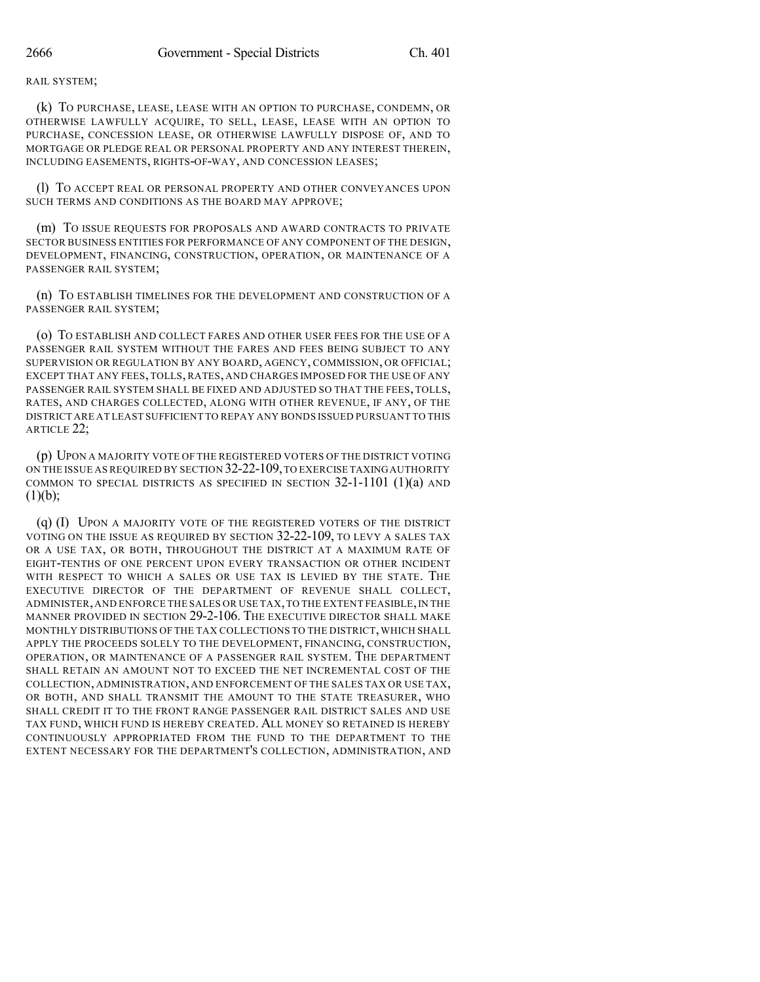#### RAIL SYSTEM;

(k) TO PURCHASE, LEASE, LEASE WITH AN OPTION TO PURCHASE, CONDEMN, OR OTHERWISE LAWFULLY ACQUIRE, TO SELL, LEASE, LEASE WITH AN OPTION TO PURCHASE, CONCESSION LEASE, OR OTHERWISE LAWFULLY DISPOSE OF, AND TO MORTGAGE OR PLEDGE REAL OR PERSONAL PROPERTY AND ANY INTEREST THEREIN, INCLUDING EASEMENTS, RIGHTS-OF-WAY, AND CONCESSION LEASES;

(l) TO ACCEPT REAL OR PERSONAL PROPERTY AND OTHER CONVEYANCES UPON SUCH TERMS AND CONDITIONS AS THE BOARD MAY APPROVE;

(m) TO ISSUE REQUESTS FOR PROPOSALS AND AWARD CONTRACTS TO PRIVATE SECTOR BUSINESS ENTITIES FOR PERFORMANCE OF ANY COMPONENT OF THE DESIGN, DEVELOPMENT, FINANCING, CONSTRUCTION, OPERATION, OR MAINTENANCE OF A PASSENGER RAIL SYSTEM;

(n) TO ESTABLISH TIMELINES FOR THE DEVELOPMENT AND CONSTRUCTION OF A PASSENGER RAIL SYSTEM;

(o) TO ESTABLISH AND COLLECT FARES AND OTHER USER FEES FOR THE USE OF A PASSENGER RAIL SYSTEM WITHOUT THE FARES AND FEES BEING SUBJECT TO ANY SUPERVISION OR REGULATION BY ANY BOARD, AGENCY, COMMISSION, OR OFFICIAL; EXCEPT THAT ANY FEES, TOLLS, RATES, AND CHARGES IMPOSED FOR THE USE OF ANY PASSENGER RAIL SYSTEM SHALL BE FIXED AND ADJUSTED SO THAT THE FEES, TOLLS, RATES, AND CHARGES COLLECTED, ALONG WITH OTHER REVENUE, IF ANY, OF THE DISTRICT ARE AT LEAST SUFFICIENT TO REPAY ANY BONDS ISSUED PURSUANT TO THIS ARTICLE 22;

(p) UPON A MAJORITY VOTE OF THE REGISTERED VOTERS OF THE DISTRICT VOTING ON THE ISSUE AS REQUIRED BY SECTION 32-22-109,TO EXERCISE TAXINGAUTHORITY COMMON TO SPECIAL DISTRICTS AS SPECIFIED IN SECTION 32-1-1101 (1)(a) AND  $(1)(b);$ 

(q) (I) UPON A MAJORITY VOTE OF THE REGISTERED VOTERS OF THE DISTRICT VOTING ON THE ISSUE AS REQUIRED BY SECTION 32-22-109, TO LEVY A SALES TAX OR A USE TAX, OR BOTH, THROUGHOUT THE DISTRICT AT A MAXIMUM RATE OF EIGHT-TENTHS OF ONE PERCENT UPON EVERY TRANSACTION OR OTHER INCIDENT WITH RESPECT TO WHICH A SALES OR USE TAX IS LEVIED BY THE STATE. THE EXECUTIVE DIRECTOR OF THE DEPARTMENT OF REVENUE SHALL COLLECT, ADMINISTER,AND ENFORCE THE SALES OR USE TAX,TO THE EXTENT FEASIBLE,IN THE MANNER PROVIDED IN SECTION 29-2-106. THE EXECUTIVE DIRECTOR SHALL MAKE MONTHLY DISTRIBUTIONS OF THE TAX COLLECTIONS TO THE DISTRICT,WHICH SHALL APPLY THE PROCEEDS SOLELY TO THE DEVELOPMENT, FINANCING, CONSTRUCTION, OPERATION, OR MAINTENANCE OF A PASSENGER RAIL SYSTEM. THE DEPARTMENT SHALL RETAIN AN AMOUNT NOT TO EXCEED THE NET INCREMENTAL COST OF THE COLLECTION, ADMINISTRATION, AND ENFORCEMENT OF THE SALES TAX OR USE TAX, OR BOTH, AND SHALL TRANSMIT THE AMOUNT TO THE STATE TREASURER, WHO SHALL CREDIT IT TO THE FRONT RANGE PASSENGER RAIL DISTRICT SALES AND USE TAX FUND, WHICH FUND IS HEREBY CREATED. ALL MONEY SO RETAINED IS HEREBY CONTINUOUSLY APPROPRIATED FROM THE FUND TO THE DEPARTMENT TO THE EXTENT NECESSARY FOR THE DEPARTMENT'S COLLECTION, ADMINISTRATION, AND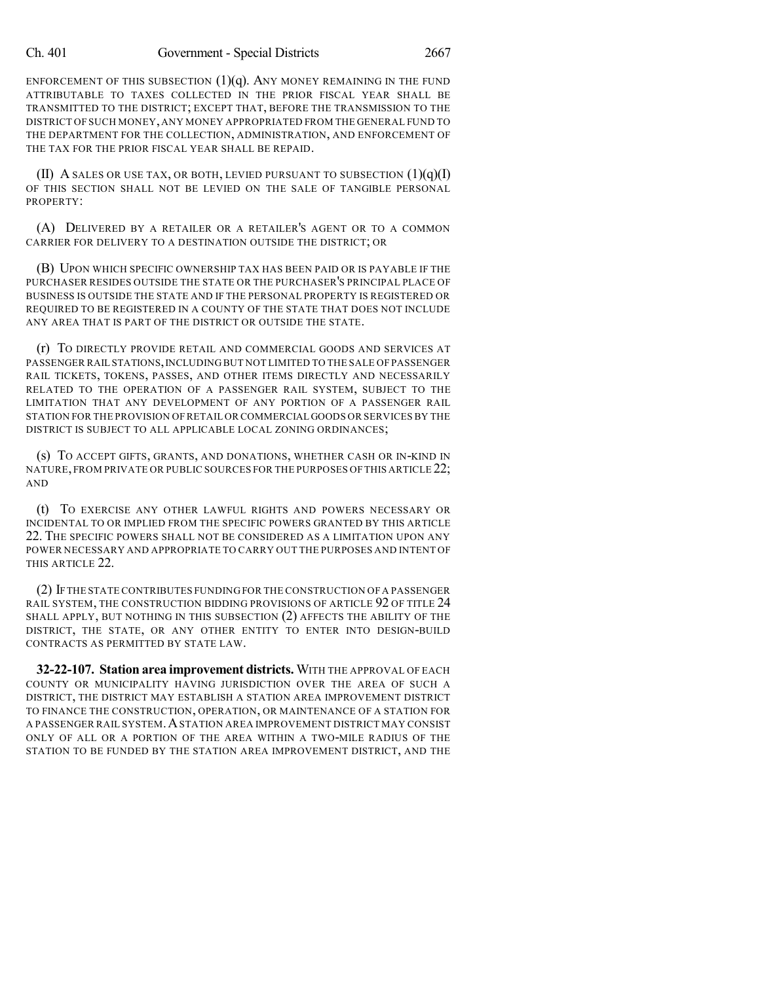ENFORCEMENT OF THIS SUBSECTION  $(1)(q)$ . ANY MONEY REMAINING IN THE FUND ATTRIBUTABLE TO TAXES COLLECTED IN THE PRIOR FISCAL YEAR SHALL BE TRANSMITTED TO THE DISTRICT; EXCEPT THAT, BEFORE THE TRANSMISSION TO THE DISTRICT OF SUCH MONEY,ANY MONEY APPROPRIATED FROM THE GENERAL FUND TO THE DEPARTMENT FOR THE COLLECTION, ADMINISTRATION, AND ENFORCEMENT OF THE TAX FOR THE PRIOR FISCAL YEAR SHALL BE REPAID.

(II) A SALES OR USE TAX, OR BOTH, LEVIED PURSUANT TO SUBSECTION  $(1)(q)(I)$ OF THIS SECTION SHALL NOT BE LEVIED ON THE SALE OF TANGIBLE PERSONAL PROPERTY:

(A) DELIVERED BY A RETAILER OR A RETAILER'S AGENT OR TO A COMMON CARRIER FOR DELIVERY TO A DESTINATION OUTSIDE THE DISTRICT; OR

(B) UPON WHICH SPECIFIC OWNERSHIP TAX HAS BEEN PAID OR IS PAYABLE IF THE PURCHASER RESIDES OUTSIDE THE STATE OR THE PURCHASER'S PRINCIPAL PLACE OF BUSINESS IS OUTSIDE THE STATE AND IF THE PERSONAL PROPERTY IS REGISTERED OR REQUIRED TO BE REGISTERED IN A COUNTY OF THE STATE THAT DOES NOT INCLUDE ANY AREA THAT IS PART OF THE DISTRICT OR OUTSIDE THE STATE.

(r) TO DIRECTLY PROVIDE RETAIL AND COMMERCIAL GOODS AND SERVICES AT PASSENGER RAIL STATIONS,INCLUDING BUT NOT LIMITED TO THE SALE OF PASSENGER RAIL TICKETS, TOKENS, PASSES, AND OTHER ITEMS DIRECTLY AND NECESSARILY RELATED TO THE OPERATION OF A PASSENGER RAIL SYSTEM, SUBJECT TO THE LIMITATION THAT ANY DEVELOPMENT OF ANY PORTION OF A PASSENGER RAIL STATION FOR THE PROVISION OF RETAIL OR COMMERCIAL GOODS OR SERVICES BY THE DISTRICT IS SUBJECT TO ALL APPLICABLE LOCAL ZONING ORDINANCES;

(s) TO ACCEPT GIFTS, GRANTS, AND DONATIONS, WHETHER CASH OR IN-KIND IN NATURE, FROM PRIVATE OR PUBLIC SOURCES FOR THE PURPOSES OF THIS ARTICLE 22; AND

(t) TO EXERCISE ANY OTHER LAWFUL RIGHTS AND POWERS NECESSARY OR INCIDENTAL TO OR IMPLIED FROM THE SPECIFIC POWERS GRANTED BY THIS ARTICLE 22. THE SPECIFIC POWERS SHALL NOT BE CONSIDERED AS A LIMITATION UPON ANY POWER NECESSARY AND APPROPRIATE TO CARRY OUT THE PURPOSES AND INTENT OF THIS ARTICLE 22.

(2) IFTHE STATE CONTRIBUTES FUNDINGFOR THE CONSTRUCTION OF A PASSENGER RAIL SYSTEM, THE CONSTRUCTION BIDDING PROVISIONS OF ARTICLE 92 OF TITLE 24 SHALL APPLY, BUT NOTHING IN THIS SUBSECTION (2) AFFECTS THE ABILITY OF THE DISTRICT, THE STATE, OR ANY OTHER ENTITY TO ENTER INTO DESIGN-BUILD CONTRACTS AS PERMITTED BY STATE LAW.

**32-22-107. Station area improvement districts.** WITH THE APPROVAL OF EACH COUNTY OR MUNICIPALITY HAVING JURISDICTION OVER THE AREA OF SUCH A DISTRICT, THE DISTRICT MAY ESTABLISH A STATION AREA IMPROVEMENT DISTRICT TO FINANCE THE CONSTRUCTION, OPERATION, OR MAINTENANCE OF A STATION FOR A PASSENGER RAIL SYSTEM.ASTATION AREA IMPROVEMENT DISTRICT MAY CONSIST ONLY OF ALL OR A PORTION OF THE AREA WITHIN A TWO-MILE RADIUS OF THE STATION TO BE FUNDED BY THE STATION AREA IMPROVEMENT DISTRICT, AND THE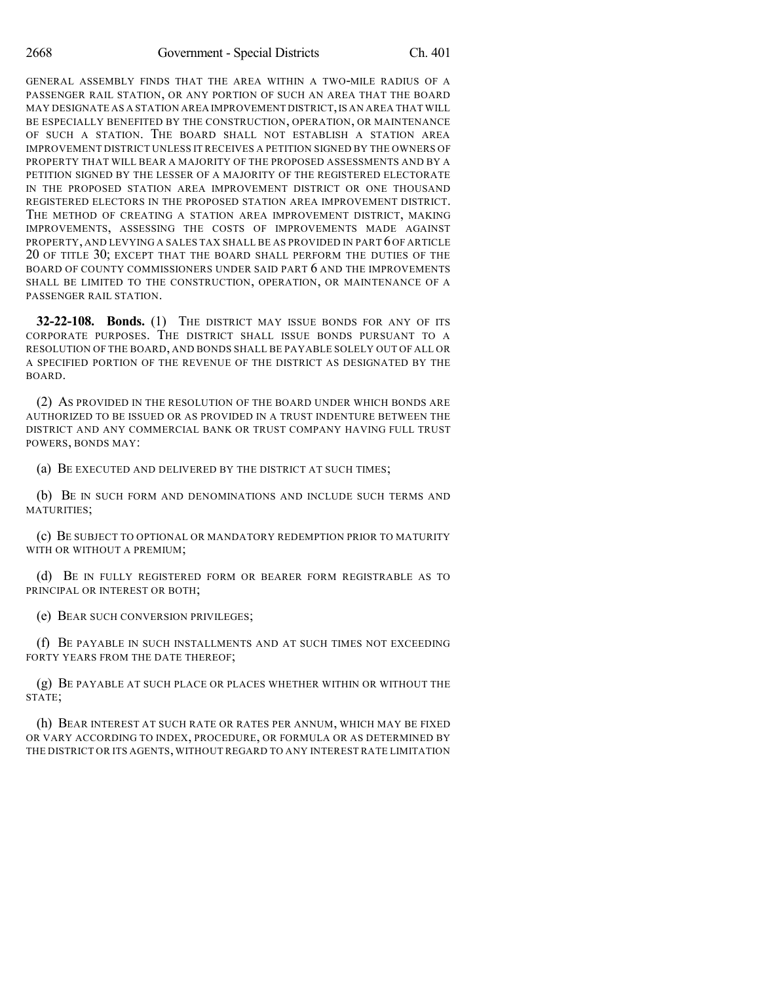GENERAL ASSEMBLY FINDS THAT THE AREA WITHIN A TWO-MILE RADIUS OF A PASSENGER RAIL STATION, OR ANY PORTION OF SUCH AN AREA THAT THE BOARD MAY DESIGNATE AS A STATION AREA IMPROVEMENT DISTRICT,IS AN AREA THAT WILL BE ESPECIALLY BENEFITED BY THE CONSTRUCTION, OPERATION, OR MAINTENANCE OF SUCH A STATION. THE BOARD SHALL NOT ESTABLISH A STATION AREA IMPROVEMENT DISTRICT UNLESS IT RECEIVES A PETITION SIGNED BY THE OWNERS OF PROPERTY THAT WILL BEAR A MAJORITY OF THE PROPOSED ASSESSMENTS AND BY A PETITION SIGNED BY THE LESSER OF A MAJORITY OF THE REGISTERED ELECTORATE IN THE PROPOSED STATION AREA IMPROVEMENT DISTRICT OR ONE THOUSAND REGISTERED ELECTORS IN THE PROPOSED STATION AREA IMPROVEMENT DISTRICT. THE METHOD OF CREATING A STATION AREA IMPROVEMENT DISTRICT, MAKING IMPROVEMENTS, ASSESSING THE COSTS OF IMPROVEMENTS MADE AGAINST PROPERTY, AND LEVYING A SALES TAX SHALL BE AS PROVIDED IN PART 6 OF ARTICLE 20 OF TITLE 30; EXCEPT THAT THE BOARD SHALL PERFORM THE DUTIES OF THE BOARD OF COUNTY COMMISSIONERS UNDER SAID PART 6 AND THE IMPROVEMENTS SHALL BE LIMITED TO THE CONSTRUCTION, OPERATION, OR MAINTENANCE OF A PASSENGER RAIL STATION.

**32-22-108. Bonds.** (1) THE DISTRICT MAY ISSUE BONDS FOR ANY OF ITS CORPORATE PURPOSES. THE DISTRICT SHALL ISSUE BONDS PURSUANT TO A RESOLUTION OF THE BOARD, AND BONDS SHALL BE PAYABLE SOLELY OUT OF ALL OR A SPECIFIED PORTION OF THE REVENUE OF THE DISTRICT AS DESIGNATED BY THE BOARD.

(2) AS PROVIDED IN THE RESOLUTION OF THE BOARD UNDER WHICH BONDS ARE AUTHORIZED TO BE ISSUED OR AS PROVIDED IN A TRUST INDENTURE BETWEEN THE DISTRICT AND ANY COMMERCIAL BANK OR TRUST COMPANY HAVING FULL TRUST POWERS, BONDS MAY:

(a) BE EXECUTED AND DELIVERED BY THE DISTRICT AT SUCH TIMES;

(b) BE IN SUCH FORM AND DENOMINATIONS AND INCLUDE SUCH TERMS AND MATURITIES;

(c) BE SUBJECT TO OPTIONAL OR MANDATORY REDEMPTION PRIOR TO MATURITY WITH OR WITHOUT A PREMIUM;

(d) BE IN FULLY REGISTERED FORM OR BEARER FORM REGISTRABLE AS TO PRINCIPAL OR INTEREST OR BOTH;

(e) BEAR SUCH CONVERSION PRIVILEGES;

(f) BE PAYABLE IN SUCH INSTALLMENTS AND AT SUCH TIMES NOT EXCEEDING FORTY YEARS FROM THE DATE THEREOF;

(g) BE PAYABLE AT SUCH PLACE OR PLACES WHETHER WITHIN OR WITHOUT THE STATE;

(h) BEAR INTEREST AT SUCH RATE OR RATES PER ANNUM, WHICH MAY BE FIXED OR VARY ACCORDING TO INDEX, PROCEDURE, OR FORMULA OR AS DETERMINED BY THE DISTRICT OR ITS AGENTS, WITHOUT REGARD TO ANY INTEREST RATE LIMITATION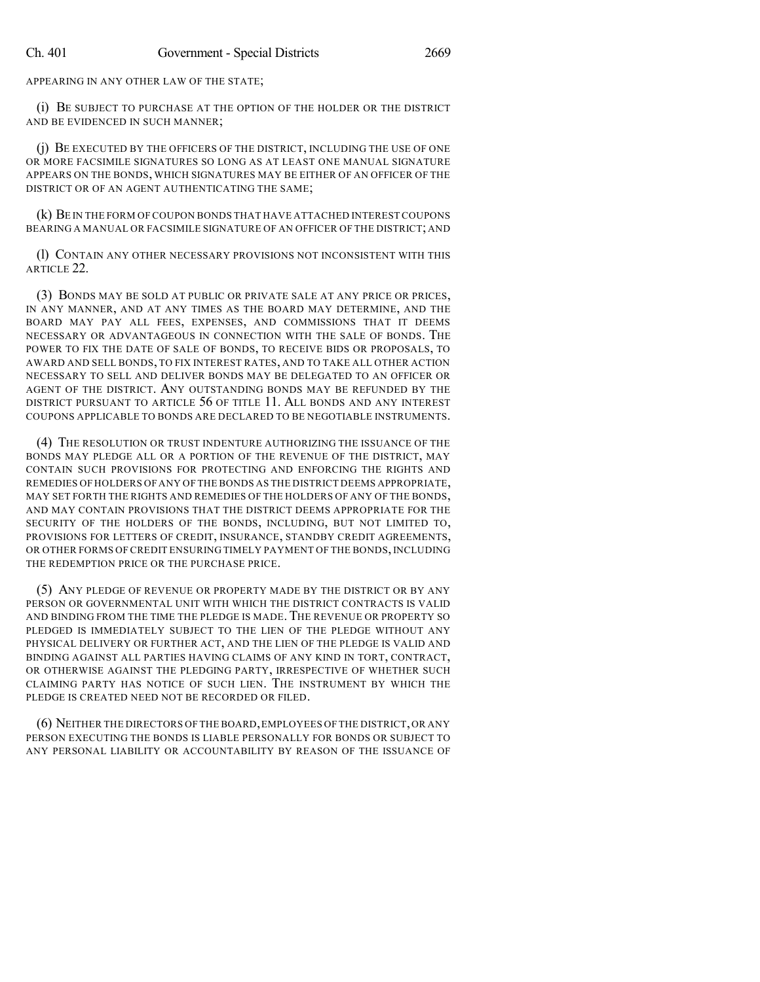APPEARING IN ANY OTHER LAW OF THE STATE;

(i) BE SUBJECT TO PURCHASE AT THE OPTION OF THE HOLDER OR THE DISTRICT AND BE EVIDENCED IN SUCH MANNER;

(j) BE EXECUTED BY THE OFFICERS OF THE DISTRICT, INCLUDING THE USE OF ONE OR MORE FACSIMILE SIGNATURES SO LONG AS AT LEAST ONE MANUAL SIGNATURE APPEARS ON THE BONDS, WHICH SIGNATURES MAY BE EITHER OF AN OFFICER OF THE DISTRICT OR OF AN AGENT AUTHENTICATING THE SAME;

(k) BE IN THE FORM OF COUPON BONDS THAT HAVE ATTACHED INTEREST COUPONS BEARING A MANUAL OR FACSIMILE SIGNATURE OF AN OFFICER OF THE DISTRICT; AND

(l) CONTAIN ANY OTHER NECESSARY PROVISIONS NOT INCONSISTENT WITH THIS ARTICLE 22.

(3) BONDS MAY BE SOLD AT PUBLIC OR PRIVATE SALE AT ANY PRICE OR PRICES, IN ANY MANNER, AND AT ANY TIMES AS THE BOARD MAY DETERMINE, AND THE BOARD MAY PAY ALL FEES, EXPENSES, AND COMMISSIONS THAT IT DEEMS NECESSARY OR ADVANTAGEOUS IN CONNECTION WITH THE SALE OF BONDS. THE POWER TO FIX THE DATE OF SALE OF BONDS, TO RECEIVE BIDS OR PROPOSALS, TO AWARD AND SELL BONDS, TO FIX INTEREST RATES, AND TO TAKE ALL OTHER ACTION NECESSARY TO SELL AND DELIVER BONDS MAY BE DELEGATED TO AN OFFICER OR AGENT OF THE DISTRICT. ANY OUTSTANDING BONDS MAY BE REFUNDED BY THE DISTRICT PURSUANT TO ARTICLE 56 OF TITLE 11. ALL BONDS AND ANY INTEREST COUPONS APPLICABLE TO BONDS ARE DECLARED TO BE NEGOTIABLE INSTRUMENTS.

(4) THE RESOLUTION OR TRUST INDENTURE AUTHORIZING THE ISSUANCE OF THE BONDS MAY PLEDGE ALL OR A PORTION OF THE REVENUE OF THE DISTRICT, MAY CONTAIN SUCH PROVISIONS FOR PROTECTING AND ENFORCING THE RIGHTS AND REMEDIES OF HOLDERS OF ANY OF THE BONDS AS THE DISTRICT DEEMS APPROPRIATE, MAY SET FORTH THE RIGHTS AND REMEDIES OF THE HOLDERS OF ANY OF THE BONDS, AND MAY CONTAIN PROVISIONS THAT THE DISTRICT DEEMS APPROPRIATE FOR THE SECURITY OF THE HOLDERS OF THE BONDS, INCLUDING, BUT NOT LIMITED TO, PROVISIONS FOR LETTERS OF CREDIT, INSURANCE, STANDBY CREDIT AGREEMENTS, OR OTHER FORMS OF CREDIT ENSURING TIMELY PAYMENT OF THE BONDS, INCLUDING THE REDEMPTION PRICE OR THE PURCHASE PRICE.

(5) ANY PLEDGE OF REVENUE OR PROPERTY MADE BY THE DISTRICT OR BY ANY PERSON OR GOVERNMENTAL UNIT WITH WHICH THE DISTRICT CONTRACTS IS VALID AND BINDING FROM THE TIME THE PLEDGE IS MADE. THE REVENUE OR PROPERTY SO PLEDGED IS IMMEDIATELY SUBJECT TO THE LIEN OF THE PLEDGE WITHOUT ANY PHYSICAL DELIVERY OR FURTHER ACT, AND THE LIEN OF THE PLEDGE IS VALID AND BINDING AGAINST ALL PARTIES HAVING CLAIMS OF ANY KIND IN TORT, CONTRACT, OR OTHERWISE AGAINST THE PLEDGING PARTY, IRRESPECTIVE OF WHETHER SUCH CLAIMING PARTY HAS NOTICE OF SUCH LIEN. THE INSTRUMENT BY WHICH THE PLEDGE IS CREATED NEED NOT BE RECORDED OR FILED.

(6) NEITHER THE DIRECTORS OF THE BOARD,EMPLOYEES OF THE DISTRICT,OR ANY PERSON EXECUTING THE BONDS IS LIABLE PERSONALLY FOR BONDS OR SUBJECT TO ANY PERSONAL LIABILITY OR ACCOUNTABILITY BY REASON OF THE ISSUANCE OF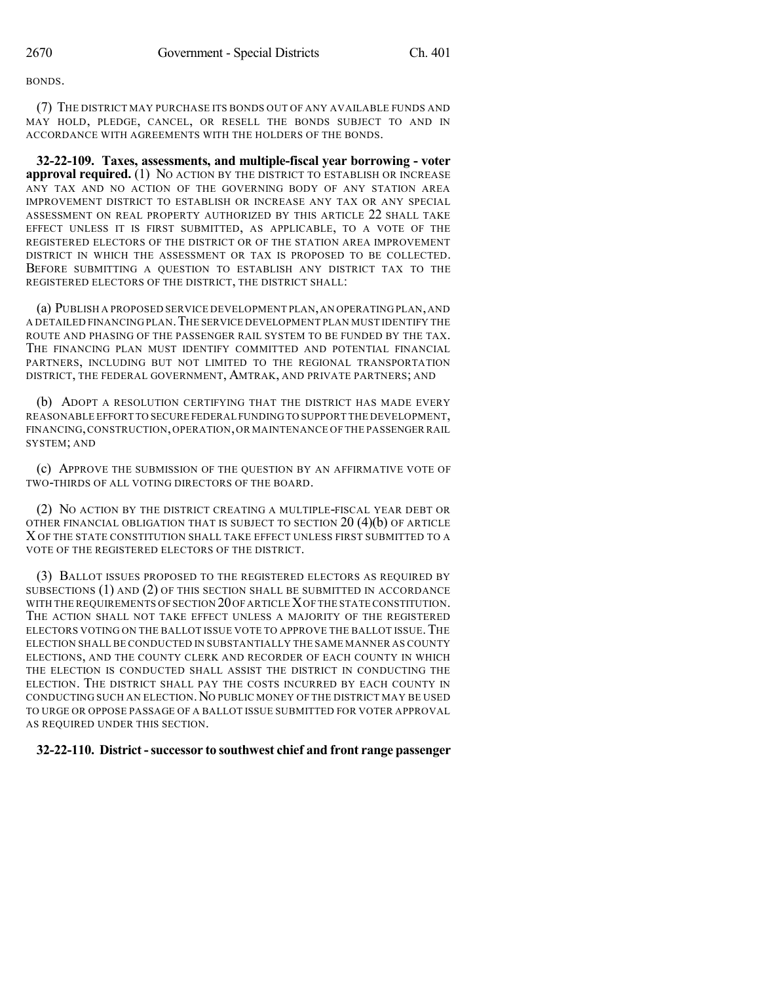BONDS.

(7) THE DISTRICT MAY PURCHASE ITS BONDS OUT OF ANY AVAILABLE FUNDS AND MAY HOLD, PLEDGE, CANCEL, OR RESELL THE BONDS SUBJECT TO AND IN ACCORDANCE WITH AGREEMENTS WITH THE HOLDERS OF THE BONDS.

**32-22-109. Taxes, assessments, and multiple-fiscal year borrowing - voter approval required.** (1) NO ACTION BY THE DISTRICT TO ESTABLISH OR INCREASE ANY TAX AND NO ACTION OF THE GOVERNING BODY OF ANY STATION AREA IMPROVEMENT DISTRICT TO ESTABLISH OR INCREASE ANY TAX OR ANY SPECIAL ASSESSMENT ON REAL PROPERTY AUTHORIZED BY THIS ARTICLE 22 SHALL TAKE EFFECT UNLESS IT IS FIRST SUBMITTED, AS APPLICABLE, TO A VOTE OF THE REGISTERED ELECTORS OF THE DISTRICT OR OF THE STATION AREA IMPROVEMENT DISTRICT IN WHICH THE ASSESSMENT OR TAX IS PROPOSED TO BE COLLECTED. BEFORE SUBMITTING A QUESTION TO ESTABLISH ANY DISTRICT TAX TO THE REGISTERED ELECTORS OF THE DISTRICT, THE DISTRICT SHALL:

(a) PUBLISH A PROPOSED SERVICE DEVELOPMENT PLAN,AN OPERATING PLAN,AND A DETAILED FINANCING PLAN.THE SERVICE DEVELOPMENT PLAN MUST IDENTIFY THE ROUTE AND PHASING OF THE PASSENGER RAIL SYSTEM TO BE FUNDED BY THE TAX. THE FINANCING PLAN MUST IDENTIFY COMMITTED AND POTENTIAL FINANCIAL PARTNERS, INCLUDING BUT NOT LIMITED TO THE REGIONAL TRANSPORTATION DISTRICT, THE FEDERAL GOVERNMENT, AMTRAK, AND PRIVATE PARTNERS; AND

(b) ADOPT A RESOLUTION CERTIFYING THAT THE DISTRICT HAS MADE EVERY REASONABLE EFFORT TO SECURE FEDERAL FUNDING TO SUPPORT THE DEVELOPMENT, FINANCING,CONSTRUCTION,OPERATION,OR MAINTENANCE OF THE PASSENGER RAIL SYSTEM; AND

(c) APPROVE THE SUBMISSION OF THE QUESTION BY AN AFFIRMATIVE VOTE OF TWO-THIRDS OF ALL VOTING DIRECTORS OF THE BOARD.

(2) NO ACTION BY THE DISTRICT CREATING A MULTIPLE-FISCAL YEAR DEBT OR OTHER FINANCIAL OBLIGATION THAT IS SUBJECT TO SECTION  $20(4)(b)$  OF ARTICLE X OF THE STATE CONSTITUTION SHALL TAKE EFFECT UNLESS FIRST SUBMITTED TO A VOTE OF THE REGISTERED ELECTORS OF THE DISTRICT.

(3) BALLOT ISSUES PROPOSED TO THE REGISTERED ELECTORS AS REQUIRED BY SUBSECTIONS (1) AND (2) OF THIS SECTION SHALL BE SUBMITTED IN ACCORDANCE WITH THE REQUIREMENTS OF SECTION 20 OF ARTICLE XOF THE STATE CONSTITUTION. THE ACTION SHALL NOT TAKE EFFECT UNLESS A MAJORITY OF THE REGISTERED ELECTORS VOTING ON THE BALLOT ISSUE VOTE TO APPROVE THE BALLOT ISSUE. THE ELECTION SHALL BE CONDUCTED IN SUBSTANTIALLY THE SAME MANNER AS COUNTY ELECTIONS, AND THE COUNTY CLERK AND RECORDER OF EACH COUNTY IN WHICH THE ELECTION IS CONDUCTED SHALL ASSIST THE DISTRICT IN CONDUCTING THE ELECTION. THE DISTRICT SHALL PAY THE COSTS INCURRED BY EACH COUNTY IN CONDUCTING SUCH AN ELECTION. NO PUBLIC MONEY OF THE DISTRICT MAY BE USED TO URGE OR OPPOSE PASSAGE OF A BALLOT ISSUE SUBMITTED FOR VOTER APPROVAL AS REQUIRED UNDER THIS SECTION.

## **32-22-110. District -successor to southwest chief and front range passenger**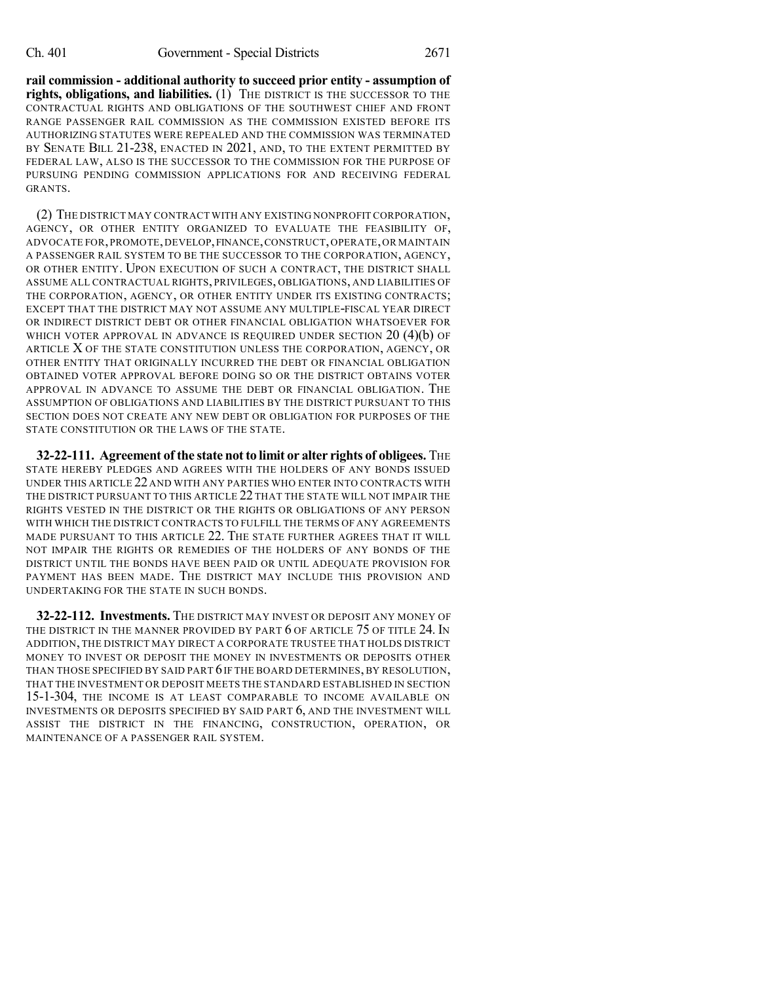**rail commission - additional authority to succeed prior entity - assumption of rights, obligations, and liabilities.** (1) THE DISTRICT IS THE SUCCESSOR TO THE CONTRACTUAL RIGHTS AND OBLIGATIONS OF THE SOUTHWEST CHIEF AND FRONT RANGE PASSENGER RAIL COMMISSION AS THE COMMISSION EXISTED BEFORE ITS AUTHORIZING STATUTES WERE REPEALED AND THE COMMISSION WAS TERMINATED BY SENATE BILL 21-238, ENACTED IN 2021, AND, TO THE EXTENT PERMITTED BY FEDERAL LAW, ALSO IS THE SUCCESSOR TO THE COMMISSION FOR THE PURPOSE OF PURSUING PENDING COMMISSION APPLICATIONS FOR AND RECEIVING FEDERAL GRANTS.

(2) THE DISTRICT MAY CONTRACT WITH ANY EXISTING NONPROFIT CORPORATION, AGENCY, OR OTHER ENTITY ORGANIZED TO EVALUATE THE FEASIBILITY OF, ADVOCATE FOR,PROMOTE,DEVELOP,FINANCE,CONSTRUCT,OPERATE,OR MAINTAIN A PASSENGER RAIL SYSTEM TO BE THE SUCCESSOR TO THE CORPORATION, AGENCY, OR OTHER ENTITY. UPON EXECUTION OF SUCH A CONTRACT, THE DISTRICT SHALL ASSUME ALL CONTRACTUAL RIGHTS, PRIVILEGES, OBLIGATIONS, AND LIABILITIES OF THE CORPORATION, AGENCY, OR OTHER ENTITY UNDER ITS EXISTING CONTRACTS; EXCEPT THAT THE DISTRICT MAY NOT ASSUME ANY MULTIPLE-FISCAL YEAR DIRECT OR INDIRECT DISTRICT DEBT OR OTHER FINANCIAL OBLIGATION WHATSOEVER FOR WHICH VOTER APPROVAL IN ADVANCE IS REQUIRED UNDER SECTION  $20(4)(b)$  OF ARTICLE X OF THE STATE CONSTITUTION UNLESS THE CORPORATION, AGENCY, OR OTHER ENTITY THAT ORIGINALLY INCURRED THE DEBT OR FINANCIAL OBLIGATION OBTAINED VOTER APPROVAL BEFORE DOING SO OR THE DISTRICT OBTAINS VOTER APPROVAL IN ADVANCE TO ASSUME THE DEBT OR FINANCIAL OBLIGATION. THE ASSUMPTION OF OBLIGATIONS AND LIABILITIES BY THE DISTRICT PURSUANT TO THIS SECTION DOES NOT CREATE ANY NEW DEBT OR OBLIGATION FOR PURPOSES OF THE STATE CONSTITUTION OR THE LAWS OF THE STATE.

**32-22-111. Agreement of the state notto limit or alter rights of obligees.** THE STATE HEREBY PLEDGES AND AGREES WITH THE HOLDERS OF ANY BONDS ISSUED UNDER THIS ARTICLE 22 AND WITH ANY PARTIES WHO ENTER INTO CONTRACTS WITH THE DISTRICT PURSUANT TO THIS ARTICLE 22 THAT THE STATE WILL NOT IMPAIR THE RIGHTS VESTED IN THE DISTRICT OR THE RIGHTS OR OBLIGATIONS OF ANY PERSON WITH WHICH THE DISTRICT CONTRACTS TO FULFILL THE TERMS OF ANY AGREEMENTS MADE PURSUANT TO THIS ARTICLE 22. THE STATE FURTHER AGREES THAT IT WILL NOT IMPAIR THE RIGHTS OR REMEDIES OF THE HOLDERS OF ANY BONDS OF THE DISTRICT UNTIL THE BONDS HAVE BEEN PAID OR UNTIL ADEQUATE PROVISION FOR PAYMENT HAS BEEN MADE. THE DISTRICT MAY INCLUDE THIS PROVISION AND UNDERTAKING FOR THE STATE IN SUCH BONDS.

**32-22-112. Investments.** THE DISTRICT MAY INVEST OR DEPOSIT ANY MONEY OF THE DISTRICT IN THE MANNER PROVIDED BY PART 6 OF ARTICLE 75 OF TITLE 24. IN ADDITION, THE DISTRICT MAY DIRECT A CORPORATE TRUSTEE THAT HOLDS DISTRICT MONEY TO INVEST OR DEPOSIT THE MONEY IN INVESTMENTS OR DEPOSITS OTHER THAN THOSE SPECIFIED BY SAID PART 6IF THE BOARD DETERMINES, BY RESOLUTION, THAT THE INVESTMENT OR DEPOSIT MEETS THE STANDARD ESTABLISHED IN SECTION 15-1-304, THE INCOME IS AT LEAST COMPARABLE TO INCOME AVAILABLE ON INVESTMENTS OR DEPOSITS SPECIFIED BY SAID PART 6, AND THE INVESTMENT WILL ASSIST THE DISTRICT IN THE FINANCING, CONSTRUCTION, OPERATION, OR MAINTENANCE OF A PASSENGER RAIL SYSTEM.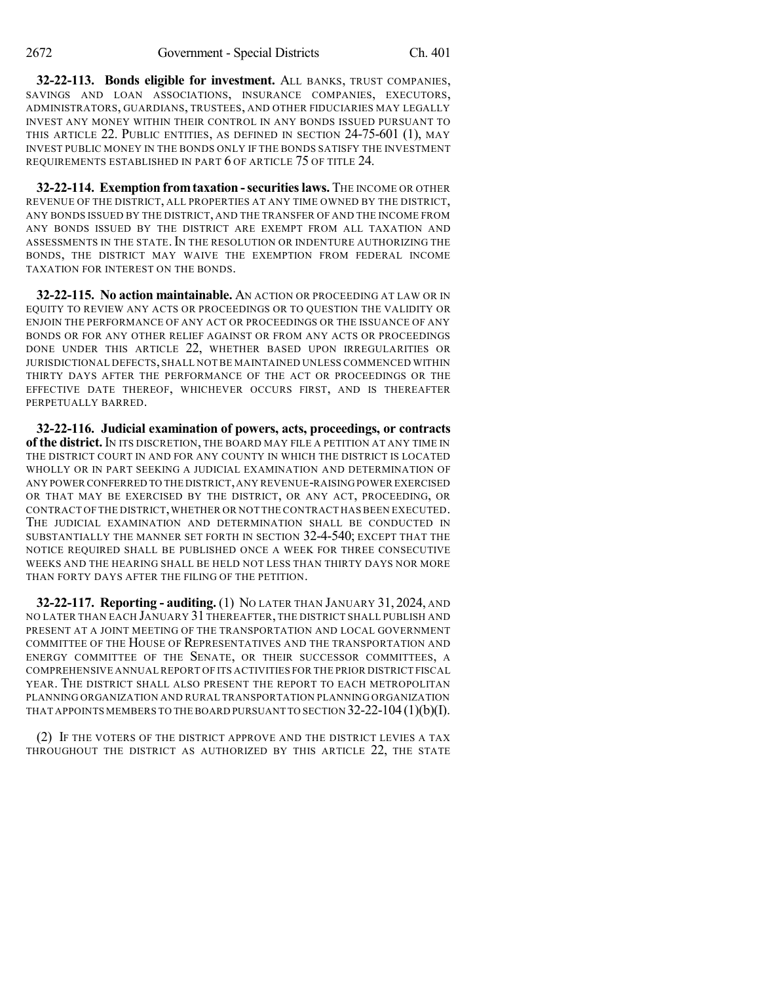**32-22-113. Bonds eligible for investment.** ALL BANKS, TRUST COMPANIES, SAVINGS AND LOAN ASSOCIATIONS, INSURANCE COMPANIES, EXECUTORS, ADMINISTRATORS, GUARDIANS, TRUSTEES, AND OTHER FIDUCIARIES MAY LEGALLY INVEST ANY MONEY WITHIN THEIR CONTROL IN ANY BONDS ISSUED PURSUANT TO THIS ARTICLE 22. PUBLIC ENTITIES, AS DEFINED IN SECTION 24-75-601 (1), MAY INVEST PUBLIC MONEY IN THE BONDS ONLY IF THE BONDS SATISFY THE INVESTMENT REQUIREMENTS ESTABLISHED IN PART 6 OF ARTICLE 75 OF TITLE 24.

**32-22-114. Exemption fromtaxation -securitieslaws.** THE INCOME OR OTHER REVENUE OF THE DISTRICT, ALL PROPERTIES AT ANY TIME OWNED BY THE DISTRICT, ANY BONDS ISSUED BY THE DISTRICT, AND THE TRANSFER OF AND THE INCOME FROM ANY BONDS ISSUED BY THE DISTRICT ARE EXEMPT FROM ALL TAXATION AND ASSESSMENTS IN THE STATE.IN THE RESOLUTION OR INDENTURE AUTHORIZING THE BONDS, THE DISTRICT MAY WAIVE THE EXEMPTION FROM FEDERAL INCOME TAXATION FOR INTEREST ON THE BONDS.

**32-22-115. No action maintainable.** AN ACTION OR PROCEEDING AT LAW OR IN EQUITY TO REVIEW ANY ACTS OR PROCEEDINGS OR TO QUESTION THE VALIDITY OR ENJOIN THE PERFORMANCE OF ANY ACT OR PROCEEDINGS OR THE ISSUANCE OF ANY BONDS OR FOR ANY OTHER RELIEF AGAINST OR FROM ANY ACTS OR PROCEEDINGS DONE UNDER THIS ARTICLE 22, WHETHER BASED UPON IRREGULARITIES OR JURISDICTIONAL DEFECTS, SHALL NOT BE MAINTAINED UNLESS COMMENCED WITHIN THIRTY DAYS AFTER THE PERFORMANCE OF THE ACT OR PROCEEDINGS OR THE EFFECTIVE DATE THEREOF, WHICHEVER OCCURS FIRST, AND IS THEREAFTER PERPETUALLY BARRED.

**32-22-116. Judicial examination of powers, acts, proceedings, or contracts of the district.** IN ITS DISCRETION, THE BOARD MAY FILE A PETITION AT ANY TIME IN THE DISTRICT COURT IN AND FOR ANY COUNTY IN WHICH THE DISTRICT IS LOCATED WHOLLY OR IN PART SEEKING A JUDICIAL EXAMINATION AND DETERMINATION OF ANY POWER CONFERRED TO THE DISTRICT,ANY REVENUE-RAISING POWER EXERCISED OR THAT MAY BE EXERCISED BY THE DISTRICT, OR ANY ACT, PROCEEDING, OR CONTRACT OF THE DISTRICT,WHETHER OR NOT THE CONTRACT HAS BEEN EXECUTED. THE JUDICIAL EXAMINATION AND DETERMINATION SHALL BE CONDUCTED IN SUBSTANTIALLY THE MANNER SET FORTH IN SECTION 32-4-540; EXCEPT THAT THE NOTICE REQUIRED SHALL BE PUBLISHED ONCE A WEEK FOR THREE CONSECUTIVE WEEKS AND THE HEARING SHALL BE HELD NOT LESS THAN THIRTY DAYS NOR MORE THAN FORTY DAYS AFTER THE FILING OF THE PETITION.

**32-22-117. Reporting - auditing.** (1) NO LATER THAN JANUARY 31, 2024, AND NO LATER THAN EACH JANUARY 31 THEREAFTER, THE DISTRICT SHALL PUBLISH AND PRESENT AT A JOINT MEETING OF THE TRANSPORTATION AND LOCAL GOVERNMENT COMMITTEE OF THE HOUSE OF REPRESENTATIVES AND THE TRANSPORTATION AND ENERGY COMMITTEE OF THE SENATE, OR THEIR SUCCESSOR COMMITTEES, A COMPREHENSIVE ANNUAL REPORT OF ITS ACTIVITIES FOR THE PRIOR DISTRICT FISCAL YEAR. THE DISTRICT SHALL ALSO PRESENT THE REPORT TO EACH METROPOLITAN PLANNING ORGANIZATION AND RURAL TRANSPORTATION PLANNING ORGANIZATION THAT APPOINTS MEMBERS TO THE BOARD PURSUANT TO SECTION 32-22-104 (1)(b)(I).

(2) IF THE VOTERS OF THE DISTRICT APPROVE AND THE DISTRICT LEVIES A TAX THROUGHOUT THE DISTRICT AS AUTHORIZED BY THIS ARTICLE 22, THE STATE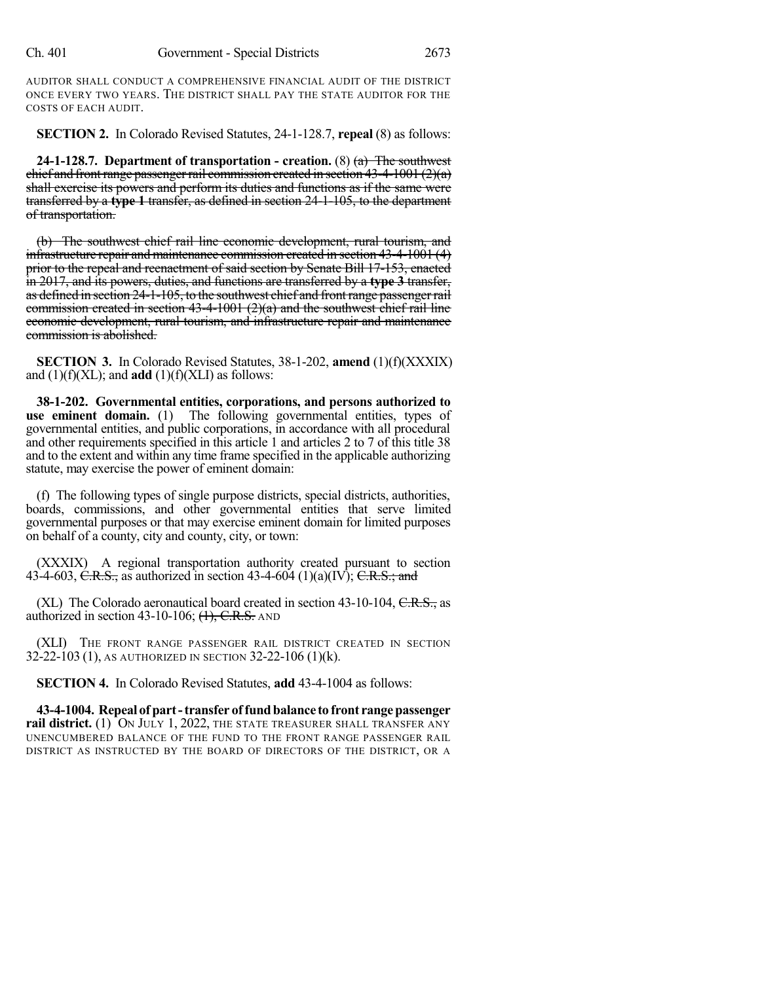AUDITOR SHALL CONDUCT A COMPREHENSIVE FINANCIAL AUDIT OF THE DISTRICT ONCE EVERY TWO YEARS. THE DISTRICT SHALL PAY THE STATE AUDITOR FOR THE COSTS OF EACH AUDIT.

**SECTION 2.** In Colorado Revised Statutes, 24-1-128.7, **repeal** (8) as follows:

**24-1-128.7. Department of transportation - creation.** (8) (a) The southwest chief and front range passenger rail commission created in section  $43-4-1001(2)(a)$ shall exercise its powers and perform its duties and functions as if the same were transferred by a **type 1** transfer, as defined in section 24-1-105, to the department of transportation.

(b) The southwest chief rail line economic development, rural tourism, and infrastructure repair and maintenance commission created in section 43-4-1001 (4) prior to the repeal and reenactment of said section by Senate Bill 17-153, enacted in 2017, and its powers, duties, and functions are transferred by a **type 3** transfer, as defined in section 24-1-105, to the southwest chief and frontrange passengerrail commission created in section 43-4-1001  $(2)(a)$  and the southwest chief rail line economic development, rural tourism, and infrastructure repair and maintenance commission is abolished.

**SECTION 3.** In Colorado Revised Statutes, 38-1-202, **amend** (1)(f)(XXXIX) and  $(1)(f)(XL)$ ; and **add**  $(1)(f)(XL)$  as follows:

**38-1-202. Governmental entities, corporations, and persons authorized to use eminent domain.** (1) The following governmental entities, types of governmental entities, and public corporations, in accordance with all procedural and other requirements specified in this article 1 and articles 2 to 7 of this title 38 and to the extent and within any time frame specified in the applicable authorizing statute, may exercise the power of eminent domain:

(f) The following types of single purpose districts, special districts, authorities, boards, commissions, and other governmental entities that serve limited governmental purposes or that may exercise eminent domain for limited purposes on behalf of a county, city and county, city, or town:

(XXXIX) A regional transportation authority created pursuant to section 43-4-603, C.R.S., as authorized in section 43-4-604 (1)(a)(IV); C.R.S.; and

(XL) The Colorado aeronautical board created in section  $43-10-104$ , C.R.S., as authorized in section  $43-10-106$ ;  $(1)$ , C.R.S. AND

(XLI) THE FRONT RANGE PASSENGER RAIL DISTRICT CREATED IN SECTION 32-22-103 (1), AS AUTHORIZED IN SECTION 32-22-106 (1)(k).

**SECTION 4.** In Colorado Revised Statutes, **add** 43-4-1004 as follows:

**43-4-1004. Repeal of part-transfer offundbalance to front rangepassenger rail district.** (1) ON JULY 1, 2022, THE STATE TREASURER SHALL TRANSFER ANY UNENCUMBERED BALANCE OF THE FUND TO THE FRONT RANGE PASSENGER RAIL DISTRICT AS INSTRUCTED BY THE BOARD OF DIRECTORS OF THE DISTRICT, OR A